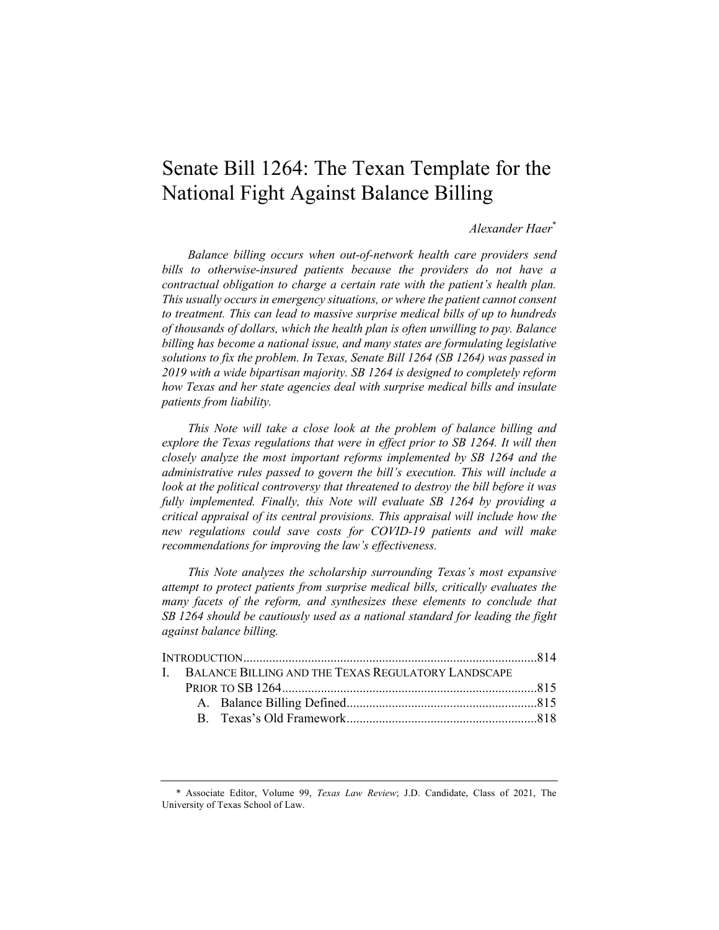# Senate Bill 1264: The Texan Template for the National Fight Against Balance Billing

# *Alexander Haer*\*

*Balance billing occurs when out-of-network health care providers send bills to otherwise-insured patients because the providers do not have a contractual obligation to charge a certain rate with the patient's health plan. This usually occurs in emergency situations, or where the patient cannot consent to treatment. This can lead to massive surprise medical bills of up to hundreds of thousands of dollars, which the health plan is often unwilling to pay. Balance billing has become a national issue, and many states are formulating legislative solutions to fix the problem. In Texas, Senate Bill 1264 (SB 1264) was passed in 2019 with a wide bipartisan majority. SB 1264 is designed to completely reform how Texas and her state agencies deal with surprise medical bills and insulate patients from liability.* 

*This Note will take a close look at the problem of balance billing and explore the Texas regulations that were in effect prior to SB 1264. It will then closely analyze the most important reforms implemented by SB 1264 and the administrative rules passed to govern the bill's execution. This will include a look at the political controversy that threatened to destroy the bill before it was fully implemented. Finally, this Note will evaluate SB 1264 by providing a critical appraisal of its central provisions. This appraisal will include how the new regulations could save costs for COVID-19 patients and will make recommendations for improving the law's effectiveness.* 

*This Note analyzes the scholarship surrounding Texas's most expansive attempt to protect patients from surprise medical bills, critically evaluates the many facets of the reform, and synthesizes these elements to conclude that SB 1264 should be cautiously used as a national standard for leading the fight against balance billing.*

|  | <b>I. BALANCE BILLING AND THE TEXAS REGULATORY LANDSCAPE</b> |  |  |  |  |
|--|--------------------------------------------------------------|--|--|--|--|
|  |                                                              |  |  |  |  |
|  |                                                              |  |  |  |  |
|  |                                                              |  |  |  |  |
|  |                                                              |  |  |  |  |

<sup>\*</sup> Associate Editor, Volume 99, *Texas Law Review*; J.D. Candidate, Class of 2021, The University of Texas School of Law.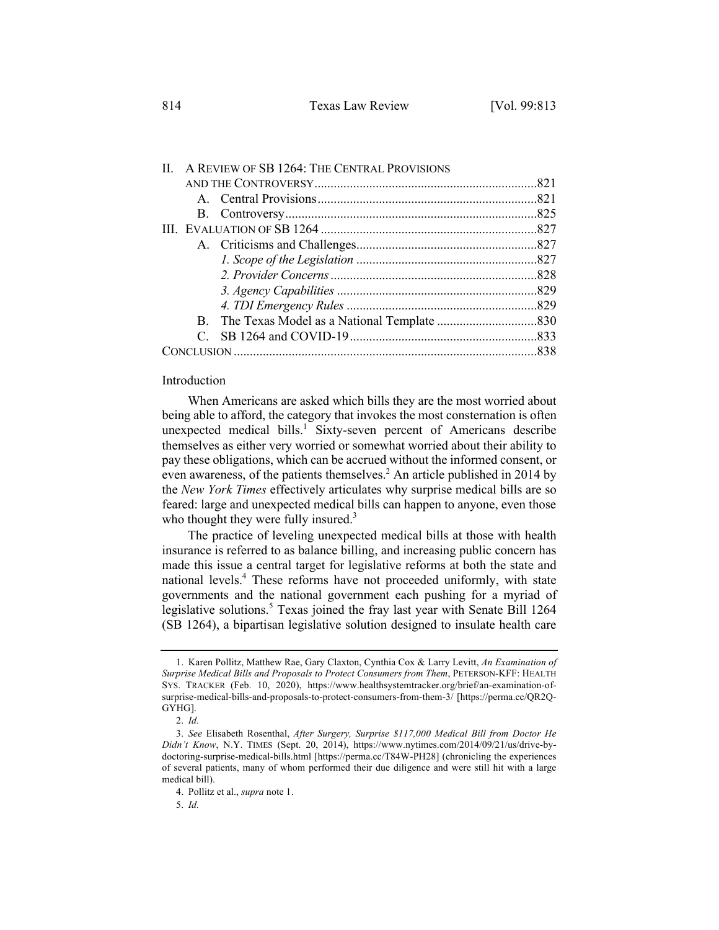| $\Pi$ |  | A REVIEW OF SB 1264: THE CENTRAL PROVISIONS |  |
|-------|--|---------------------------------------------|--|
|       |  |                                             |  |
|       |  |                                             |  |
|       |  |                                             |  |
|       |  |                                             |  |
|       |  |                                             |  |
|       |  |                                             |  |
|       |  |                                             |  |
|       |  |                                             |  |
|       |  |                                             |  |
|       |  |                                             |  |
|       |  |                                             |  |
|       |  |                                             |  |

### Introduction

When Americans are asked which bills they are the most worried about being able to afford, the category that invokes the most consternation is often unexpected medical bills.<sup>1</sup> Sixty-seven percent of Americans describe themselves as either very worried or somewhat worried about their ability to pay these obligations, which can be accrued without the informed consent, or even awareness, of the patients themselves.<sup>2</sup> An article published in 2014 by the *New York Times* effectively articulates why surprise medical bills are so feared: large and unexpected medical bills can happen to anyone, even those who thought they were fully insured. $3$ 

The practice of leveling unexpected medical bills at those with health insurance is referred to as balance billing, and increasing public concern has made this issue a central target for legislative reforms at both the state and national levels.<sup>4</sup> These reforms have not proceeded uniformly, with state governments and the national government each pushing for a myriad of legislative solutions.<sup>5</sup> Texas joined the fray last year with Senate Bill 1264 (SB 1264), a bipartisan legislative solution designed to insulate health care

<sup>1.</sup> Karen Pollitz, Matthew Rae, Gary Claxton, Cynthia Cox & Larry Levitt, *An Examination of Surprise Medical Bills and Proposals to Protect Consumers from Them*, PETERSON-KFF: HEALTH SYS. TRACKER (Feb. 10, 2020), https://www.healthsystemtracker.org/brief/an-examination-ofsurprise-medical-bills-and-proposals-to-protect-consumers-from-them-3/ [https://perma.cc/QR2Q-GYHG].

<sup>2.</sup> *Id.*

<sup>3.</sup> *See* Elisabeth Rosenthal, *After Surgery, Surprise \$117,000 Medical Bill from Doctor He Didn't Know*, N.Y. TIMES (Sept. 20, 2014), https://www.nytimes.com/2014/09/21/us/drive-bydoctoring-surprise-medical-bills.html [https://perma.cc/T84W-PH28] (chronicling the experiences of several patients, many of whom performed their due diligence and were still hit with a large medical bill).

<sup>4.</sup> Pollitz et al., *supra* note 1.

<sup>5.</sup> *Id.*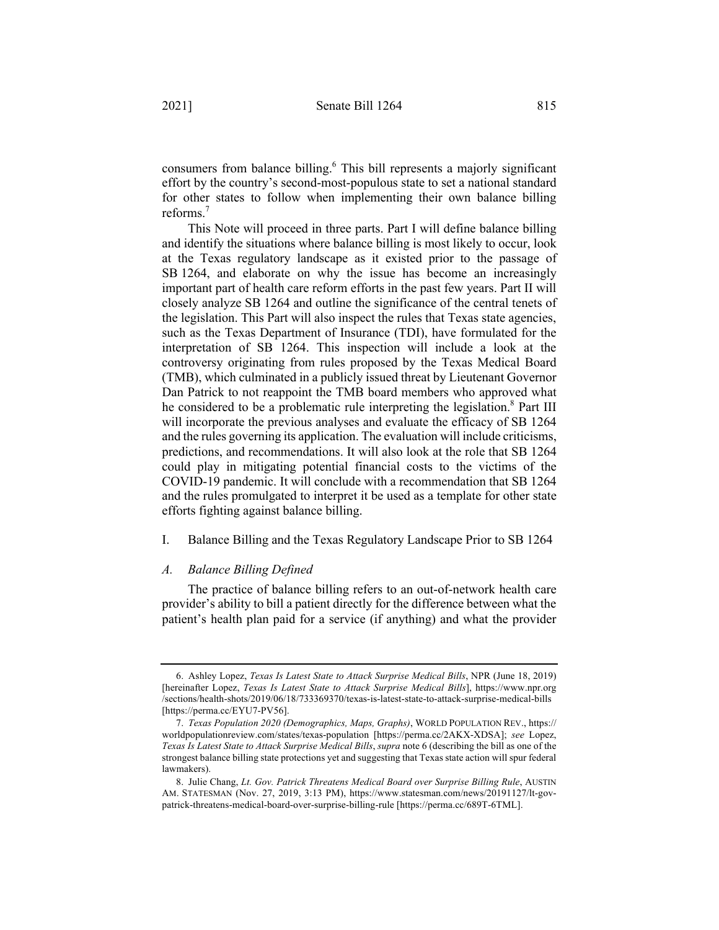consumers from balance billing.<sup>6</sup> This bill represents a majorly significant effort by the country's second-most-populous state to set a national standard for other states to follow when implementing their own balance billing reforms.<sup>7</sup>

This Note will proceed in three parts. Part I will define balance billing and identify the situations where balance billing is most likely to occur, look at the Texas regulatory landscape as it existed prior to the passage of SB 1264, and elaborate on why the issue has become an increasingly important part of health care reform efforts in the past few years. Part II will closely analyze SB 1264 and outline the significance of the central tenets of the legislation. This Part will also inspect the rules that Texas state agencies, such as the Texas Department of Insurance (TDI), have formulated for the interpretation of SB 1264. This inspection will include a look at the controversy originating from rules proposed by the Texas Medical Board (TMB), which culminated in a publicly issued threat by Lieutenant Governor Dan Patrick to not reappoint the TMB board members who approved what he considered to be a problematic rule interpreting the legislation.<sup>8</sup> Part III will incorporate the previous analyses and evaluate the efficacy of SB 1264 and the rules governing its application. The evaluation will include criticisms, predictions, and recommendations. It will also look at the role that SB 1264 could play in mitigating potential financial costs to the victims of the COVID-19 pandemic. It will conclude with a recommendation that SB 1264 and the rules promulgated to interpret it be used as a template for other state efforts fighting against balance billing.

I. Balance Billing and the Texas Regulatory Landscape Prior to SB 1264

# *A. Balance Billing Defined*

The practice of balance billing refers to an out-of-network health care provider's ability to bill a patient directly for the difference between what the patient's health plan paid for a service (if anything) and what the provider

<sup>6.</sup> Ashley Lopez, *Texas Is Latest State to Attack Surprise Medical Bills*, NPR (June 18, 2019) [hereinafter Lopez, *Texas Is Latest State to Attack Surprise Medical Bills*], https://www.npr.org /sections/health-shots/2019/06/18/733369370/texas-is-latest-state-to-attack-surprise-medical-bills [https://perma.cc/EYU7-PV56].

<sup>7.</sup> *Texas Population 2020 (Demographics, Maps, Graphs)*, WORLD POPULATION REV., https:// worldpopulationreview.com/states/texas-population [https://perma.cc/2AKX-XDSA]; *see* Lopez, *Texas Is Latest State to Attack Surprise Medical Bills*, *supra* note 6 (describing the bill as one of the strongest balance billing state protections yet and suggesting that Texas state action will spur federal lawmakers).

<sup>8.</sup> Julie Chang, *Lt. Gov. Patrick Threatens Medical Board over Surprise Billing Rule*, AUSTIN AM. STATESMAN (Nov. 27, 2019, 3:13 PM), https://www.statesman.com/news/20191127/lt-govpatrick-threatens-medical-board-over-surprise-billing-rule [https://perma.cc/689T-6TML].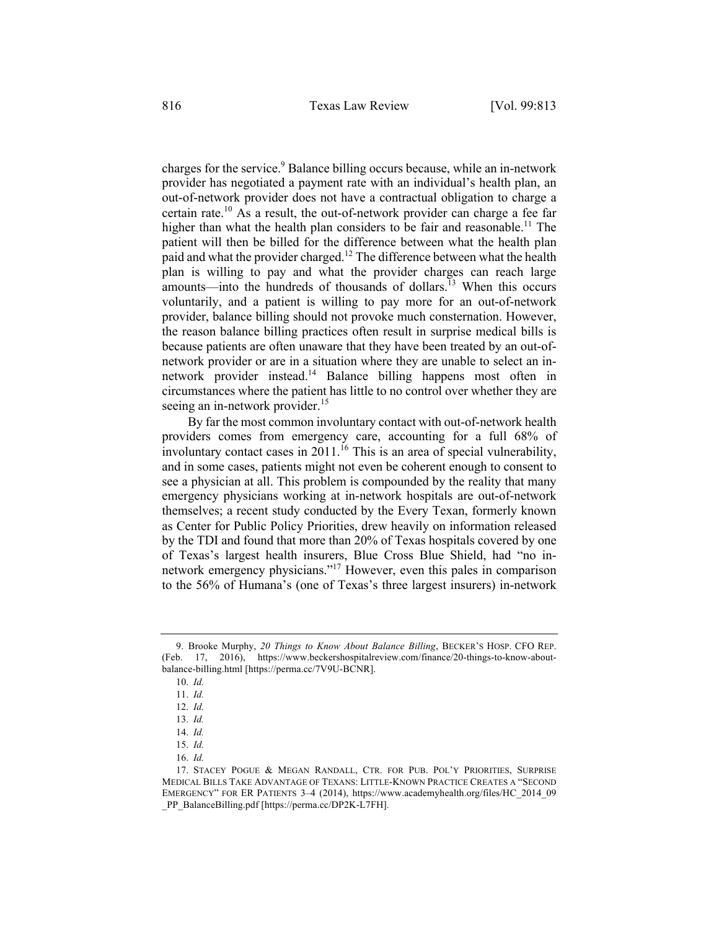charges for the service.<sup>9</sup> Balance billing occurs because, while an in-network provider has negotiated a payment rate with an individual's health plan, an out-of-network provider does not have a contractual obligation to charge a certain rate.<sup>10</sup> As a result, the out-of-network provider can charge a fee far higher than what the health plan considers to be fair and reasonable.<sup>11</sup> The patient will then be billed for the difference between what the health plan paid and what the provider charged.<sup>12</sup> The difference between what the health plan is willing to pay and what the provider charges can reach large amounts—into the hundreds of thousands of dollars.<sup>13</sup> When this occurs voluntarily, and a patient is willing to pay more for an out-of-network provider, balance billing should not provoke much consternation. However, the reason balance billing practices often result in surprise medical bills is because patients are often unaware that they have been treated by an out-ofnetwork provider or are in a situation where they are unable to select an innetwork provider instead.<sup>14</sup> Balance billing happens most often in circumstances where the patient has little to no control over whether they are seeing an in-network provider.<sup>15</sup>

By far the most common involuntary contact with out-of-network health providers comes from emergency care, accounting for a full 68% of involuntary contact cases in  $2011$ .<sup>16</sup> This is an area of special vulnerability, and in some cases, patients might not even be coherent enough to consent to see a physician at all. This problem is compounded by the reality that many emergency physicians working at in-network hospitals are out-of-network themselves; a recent study conducted by the Every Texan, formerly known as Center for Public Policy Priorities, drew heavily on information released by the TDI and found that more than 20% of Texas hospitals covered by one of Texas's largest health insurers, Blue Cross Blue Shield, had "no innetwork emergency physicians."17 However, even this pales in comparison to the 56% of Humana's (one of Texas's three largest insurers) in-network

<sup>9.</sup> Brooke Murphy, *20 Things to Know About Balance Billing*, BECKER'S HOSP. CFO REP. (Feb. 17, 2016), https://www.beckershospitalreview.com/finance/20-things-to-know-aboutbalance-billing.html [https://perma.cc/7V9U-BCNR].

<sup>10.</sup> *Id.*

<sup>11.</sup> *Id.*

<sup>12.</sup> *Id.*

<sup>13.</sup> *Id.*

<sup>14.</sup> *Id.*

<sup>15.</sup> *Id.*

<sup>16.</sup> *Id.*

<sup>17.</sup> STACEY POGUE & MEGAN RANDALL, CTR. FOR PUB. POL'Y PRIORITIES, SURPRISE MEDICAL BILLS TAKE ADVANTAGE OF TEXANS: LITTLE-KNOWN PRACTICE CREATES A "SECOND EMERGENCY" FOR ER PATIENTS 3–4 (2014), https://www.academyhealth.org/files/HC\_2014\_09 \_PP\_BalanceBilling.pdf [https://perma.cc/DP2K-L7FH].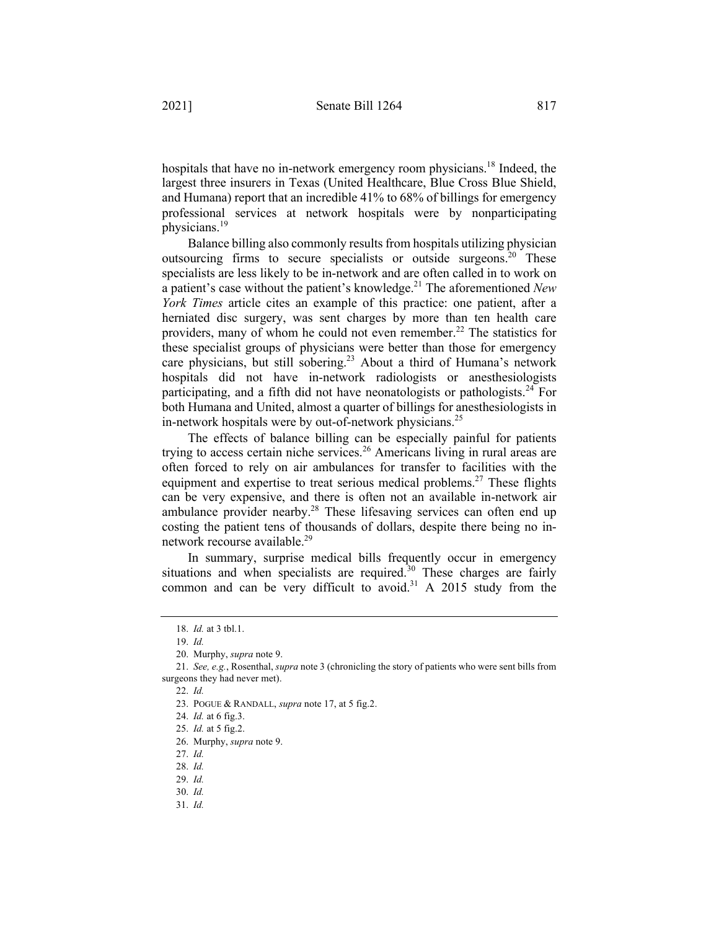hospitals that have no in-network emergency room physicians.<sup>18</sup> Indeed, the largest three insurers in Texas (United Healthcare, Blue Cross Blue Shield, and Humana) report that an incredible 41% to 68% of billings for emergency professional services at network hospitals were by nonparticipating physicians.19

Balance billing also commonly results from hospitals utilizing physician outsourcing firms to secure specialists or outside surgeons.<sup>20</sup> These specialists are less likely to be in-network and are often called in to work on a patient's case without the patient's knowledge.21 The aforementioned *New York Times* article cites an example of this practice: one patient, after a herniated disc surgery, was sent charges by more than ten health care providers, many of whom he could not even remember.<sup>22</sup> The statistics for these specialist groups of physicians were better than those for emergency care physicians, but still sobering.<sup>23</sup> About a third of Humana's network hospitals did not have in-network radiologists or anesthesiologists participating, and a fifth did not have neonatologists or pathologists.<sup>24</sup> For both Humana and United, almost a quarter of billings for anesthesiologists in in-network hospitals were by out-of-network physicians.<sup>25</sup>

The effects of balance billing can be especially painful for patients trying to access certain niche services.<sup>26</sup> Americans living in rural areas are often forced to rely on air ambulances for transfer to facilities with the equipment and expertise to treat serious medical problems.<sup>27</sup> These flights can be very expensive, and there is often not an available in-network air ambulance provider nearby.<sup>28</sup> These lifesaving services can often end up costing the patient tens of thousands of dollars, despite there being no innetwork recourse available.29

In summary, surprise medical bills frequently occur in emergency situations and when specialists are required.<sup>30</sup> These charges are fairly common and can be very difficult to avoid.<sup>31</sup> A 2015 study from the

<sup>18.</sup> *Id.* at 3 tbl.1.

<sup>19.</sup> *Id.*

<sup>20.</sup> Murphy, *supra* note 9.

<sup>21.</sup> *See, e.g.*, Rosenthal, *supra* note 3 (chronicling the story of patients who were sent bills from surgeons they had never met).

<sup>22.</sup> *Id.*

<sup>23.</sup> POGUE & RANDALL, *supra* note 17, at 5 fig.2.

<sup>24.</sup> *Id.* at 6 fig.3.

<sup>25.</sup> *Id.* at 5 fig.2.

<sup>26.</sup> Murphy, *supra* note 9.

<sup>27.</sup> *Id.*

<sup>28.</sup> *Id.*

<sup>29.</sup> *Id.*

<sup>30.</sup> *Id.*

<sup>31.</sup> *Id.*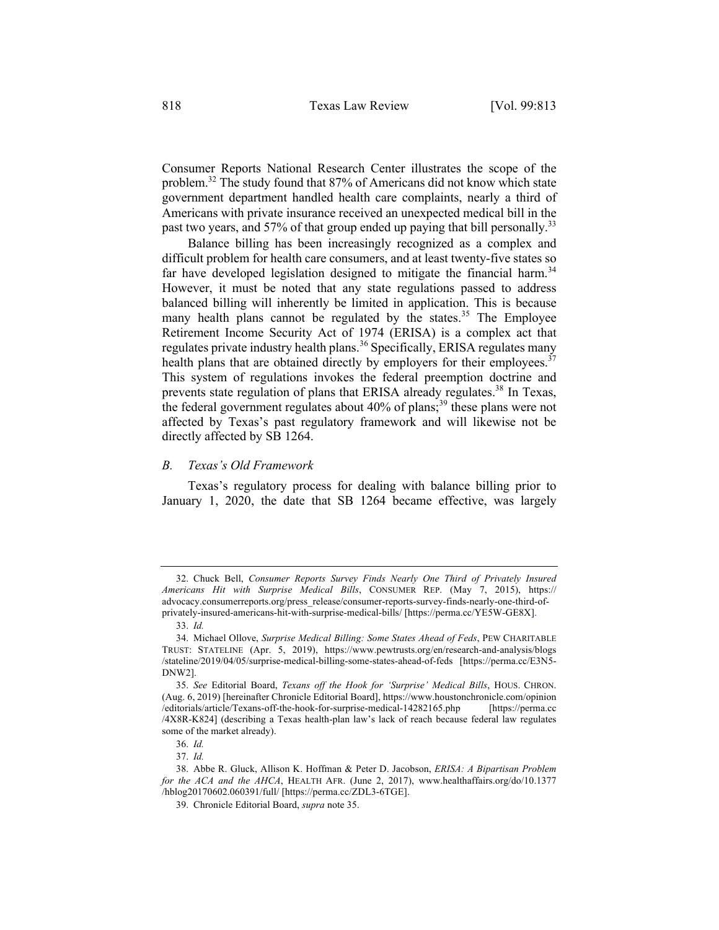Consumer Reports National Research Center illustrates the scope of the problem.<sup>32</sup> The study found that 87% of Americans did not know which state government department handled health care complaints, nearly a third of Americans with private insurance received an unexpected medical bill in the past two years, and 57% of that group ended up paying that bill personally.<sup>33</sup>

Balance billing has been increasingly recognized as a complex and difficult problem for health care consumers, and at least twenty-five states so far have developed legislation designed to mitigate the financial harm.<sup>34</sup> However, it must be noted that any state regulations passed to address balanced billing will inherently be limited in application. This is because many health plans cannot be regulated by the states.<sup>35</sup> The Employee Retirement Income Security Act of 1974 (ERISA) is a complex act that regulates private industry health plans.<sup>36</sup> Specifically, ERISA regulates many health plans that are obtained directly by employers for their employees.<sup>37</sup> This system of regulations invokes the federal preemption doctrine and prevents state regulation of plans that ERISA already regulates.<sup>38</sup> In Texas, the federal government regulates about  $40\%$  of plans;<sup>39</sup> these plans were not affected by Texas's past regulatory framework and will likewise not be directly affected by SB 1264.

# *B. Texas's Old Framework*

Texas's regulatory process for dealing with balance billing prior to January 1, 2020, the date that SB 1264 became effective, was largely

37. *Id.*

<sup>32.</sup> Chuck Bell, *Consumer Reports Survey Finds Nearly One Third of Privately Insured Americans Hit with Surprise Medical Bills*, CONSUMER REP. (May 7, 2015), https:// advocacy.consumerreports.org/press\_release/consumer-reports-survey-finds-nearly-one-third-ofprivately-insured-americans-hit-with-surprise-medical-bills/ [https://perma.cc/YE5W-GE8X].

<sup>33.</sup> *Id.*

<sup>34.</sup> Michael Ollove, *Surprise Medical Billing: Some States Ahead of Feds*, PEW CHARITABLE TRUST: STATELINE (Apr. 5, 2019), https://www.pewtrusts.org/en/research-and-analysis/blogs /stateline/2019/04/05/surprise-medical-billing-some-states-ahead-of-feds [https://perma.cc/E3N5- DNW2].

<sup>35.</sup> *See* Editorial Board, *Texans off the Hook for 'Surprise' Medical Bills*, HOUS. CHRON. (Aug. 6, 2019) [hereinafter Chronicle Editorial Board], https://www.houstonchronicle.com/opinion /editorials/article/Texans-off-the-hook-for-surprise-medical-14282165.php [https://perma.cc /4X8R-K824] (describing a Texas health-plan law's lack of reach because federal law regulates some of the market already).

<sup>36.</sup> *Id.*

<sup>38.</sup> Abbe R. Gluck, Allison K. Hoffman & Peter D. Jacobson, *ERISA: A Bipartisan Problem for the ACA and the AHCA*, HEALTH AFR. (June 2, 2017), www.healthaffairs.org/do/10.1377 /hblog20170602.060391/full/ [https://perma.cc/ZDL3-6TGE].

<sup>39.</sup> Chronicle Editorial Board, *supra* note 35.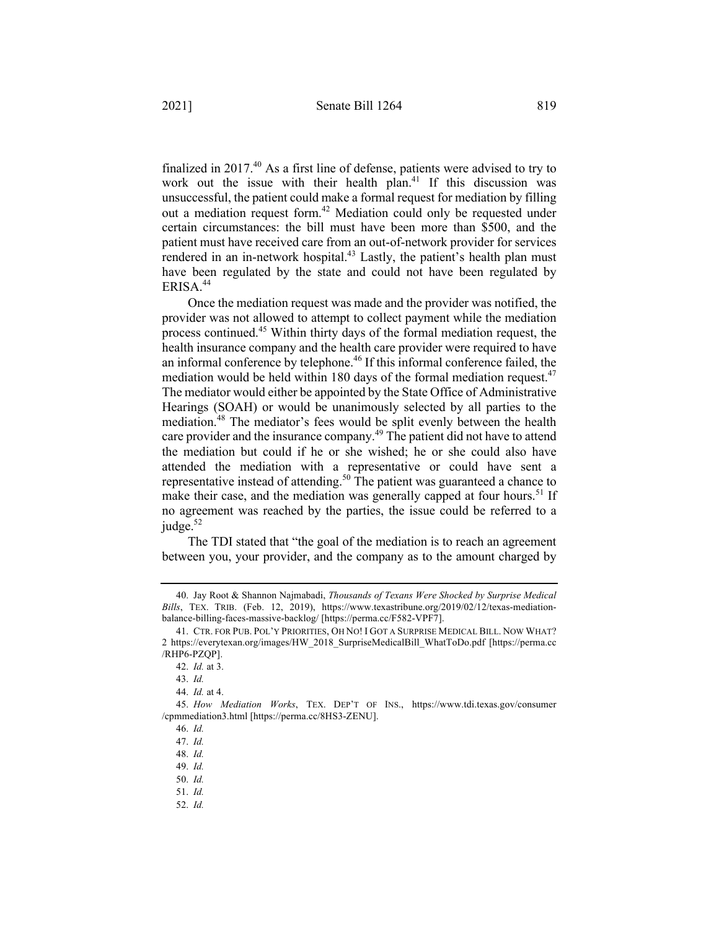finalized in 2017.<sup>40</sup> As a first line of defense, patients were advised to try to work out the issue with their health plan.<sup>41</sup> If this discussion was unsuccessful, the patient could make a formal request for mediation by filling out a mediation request form.<sup>42</sup> Mediation could only be requested under certain circumstances: the bill must have been more than \$500, and the patient must have received care from an out-of-network provider for services rendered in an in-network hospital.<sup>43</sup> Lastly, the patient's health plan must have been regulated by the state and could not have been regulated by ERISA.<sup>44</sup>

Once the mediation request was made and the provider was notified, the provider was not allowed to attempt to collect payment while the mediation process continued.<sup>45</sup> Within thirty days of the formal mediation request, the health insurance company and the health care provider were required to have an informal conference by telephone.<sup>46</sup> If this informal conference failed, the mediation would be held within 180 days of the formal mediation request.<sup>47</sup> The mediator would either be appointed by the State Office of Administrative Hearings (SOAH) or would be unanimously selected by all parties to the mediation.<sup>48</sup> The mediator's fees would be split evenly between the health care provider and the insurance company.<sup>49</sup> The patient did not have to attend the mediation but could if he or she wished; he or she could also have attended the mediation with a representative or could have sent a representative instead of attending.<sup>50</sup> The patient was guaranteed a chance to make their case, and the mediation was generally capped at four hours.<sup>51</sup> If no agreement was reached by the parties, the issue could be referred to a judge. $52$ 

The TDI stated that "the goal of the mediation is to reach an agreement between you, your provider, and the company as to the amount charged by

<sup>40.</sup> Jay Root & Shannon Najmabadi, *Thousands of Texans Were Shocked by Surprise Medical Bills*, TEX. TRIB. (Feb. 12, 2019), https://www.texastribune.org/2019/02/12/texas-mediationbalance-billing-faces-massive-backlog/ [https://perma.cc/F582-VPF7].

<sup>41.</sup> CTR. FOR PUB. POL'Y PRIORITIES, OH NO! I GOT A SURPRISE MEDICAL BILL. NOW WHAT? 2 https://everytexan.org/images/HW\_2018\_SurpriseMedicalBill\_WhatToDo.pdf [https://perma.cc /RHP6-PZQP].

<sup>42.</sup> *Id.* at 3.

<sup>43.</sup> *Id.*

<sup>44.</sup> *Id.* at 4.

<sup>45.</sup> *How Mediation Works*, TEX. DEP'T OF INS., https://www.tdi.texas.gov/consumer /cpmmediation3.html [https://perma.cc/8HS3-ZENU].

<sup>46.</sup> *Id.*

<sup>47.</sup> *Id.*

<sup>48.</sup> *Id.*

<sup>49.</sup> *Id.*

<sup>50.</sup> *Id.*

<sup>51.</sup> *Id.*

<sup>52.</sup> *Id.*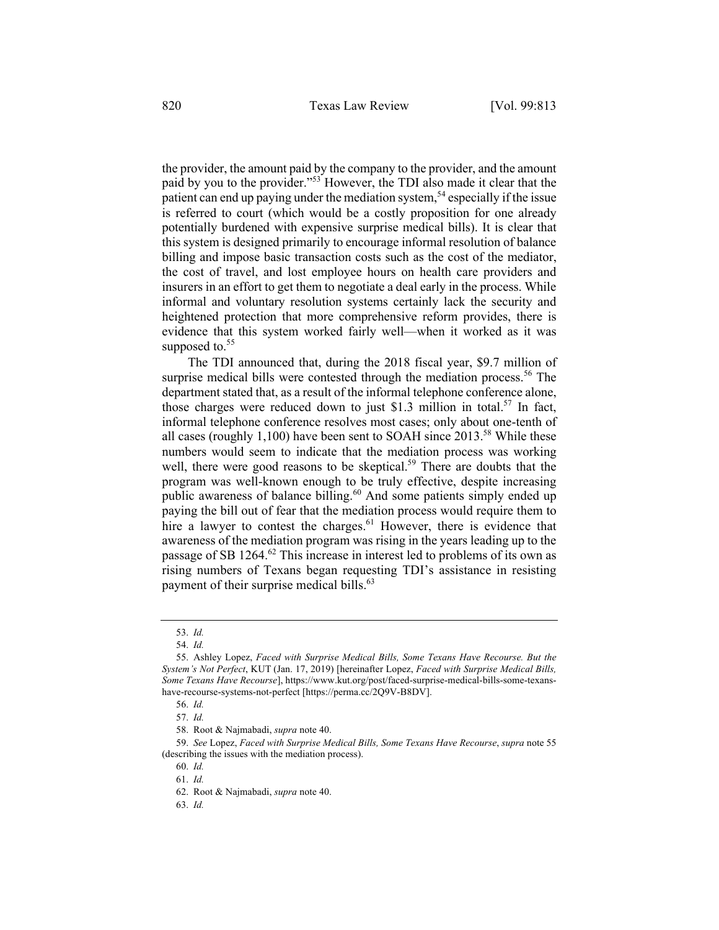the provider, the amount paid by the company to the provider, and the amount paid by you to the provider."53 However, the TDI also made it clear that the patient can end up paying under the mediation system,<sup>54</sup> especially if the issue is referred to court (which would be a costly proposition for one already potentially burdened with expensive surprise medical bills). It is clear that this system is designed primarily to encourage informal resolution of balance billing and impose basic transaction costs such as the cost of the mediator, the cost of travel, and lost employee hours on health care providers and insurers in an effort to get them to negotiate a deal early in the process. While informal and voluntary resolution systems certainly lack the security and heightened protection that more comprehensive reform provides, there is evidence that this system worked fairly well—when it worked as it was supposed to. $55$ 

The TDI announced that, during the 2018 fiscal year, \$9.7 million of surprise medical bills were contested through the mediation process.<sup>56</sup> The department stated that, as a result of the informal telephone conference alone, those charges were reduced down to just \$1.3 million in total.<sup>57</sup> In fact, informal telephone conference resolves most cases; only about one-tenth of all cases (roughly 1,100) have been sent to SOAH since  $2013^{58}$  While these numbers would seem to indicate that the mediation process was working well, there were good reasons to be skeptical.<sup>59</sup> There are doubts that the program was well-known enough to be truly effective, despite increasing public awareness of balance billing.<sup>60</sup> And some patients simply ended up paying the bill out of fear that the mediation process would require them to hire a lawyer to contest the charges. $61$  However, there is evidence that awareness of the mediation program was rising in the years leading up to the passage of SB 1264.62 This increase in interest led to problems of its own as rising numbers of Texans began requesting TDI's assistance in resisting payment of their surprise medical bills.<sup>63</sup>

<sup>53.</sup> *Id.*

<sup>54.</sup> *Id.*

<sup>55.</sup> Ashley Lopez, *Faced with Surprise Medical Bills, Some Texans Have Recourse. But the System's Not Perfect*, KUT (Jan. 17, 2019) [hereinafter Lopez, *Faced with Surprise Medical Bills, Some Texans Have Recourse*], https://www.kut.org/post/faced-surprise-medical-bills-some-texanshave-recourse-systems-not-perfect [https://perma.cc/2Q9V-B8DV].

<sup>56.</sup> *Id.*

<sup>57.</sup> *Id.*

<sup>58.</sup> Root & Najmabadi, *supra* note 40.

<sup>59.</sup> *See* Lopez, *Faced with Surprise Medical Bills, Some Texans Have Recourse*, *supra* note 55 (describing the issues with the mediation process).

<sup>60.</sup> *Id.*

<sup>61.</sup> *Id.*

<sup>62.</sup> Root & Najmabadi, *supra* note 40.

<sup>63.</sup> *Id.*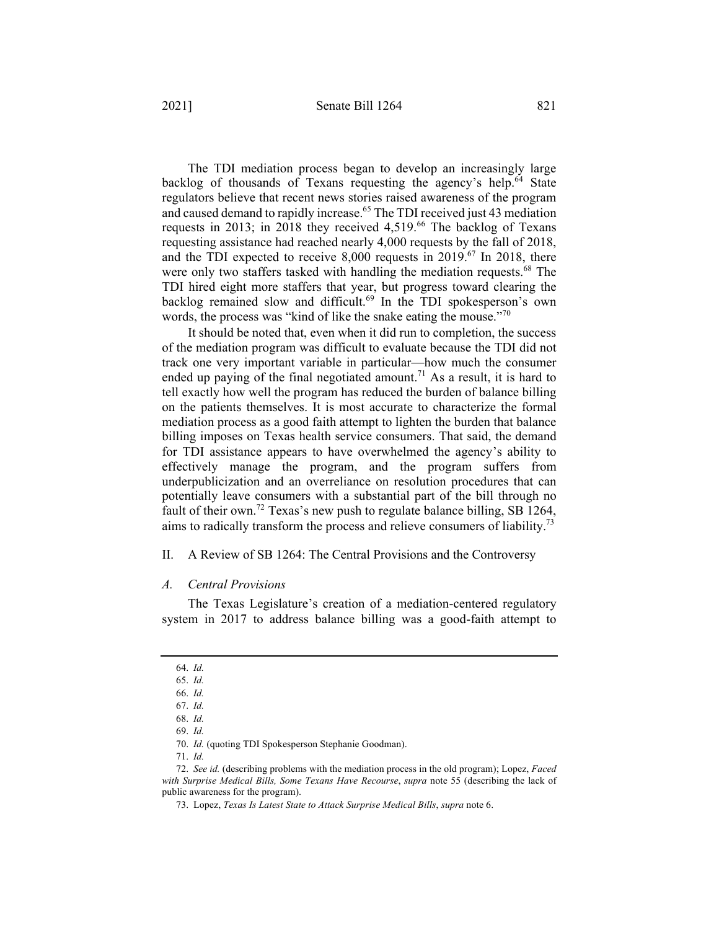The TDI mediation process began to develop an increasingly large backlog of thousands of Texans requesting the agency's help.<sup>64</sup> State regulators believe that recent news stories raised awareness of the program and caused demand to rapidly increase.<sup>65</sup> The TDI received just 43 mediation requests in 2013; in 2018 they received  $4,519$ .<sup>66</sup> The backlog of Texans requesting assistance had reached nearly 4,000 requests by the fall of 2018, and the TDI expected to receive 8,000 requests in 2019.<sup>67</sup> In 2018, there were only two staffers tasked with handling the mediation requests.<sup>68</sup> The TDI hired eight more staffers that year, but progress toward clearing the backlog remained slow and difficult.<sup>69</sup> In the TDI spokesperson's own words, the process was "kind of like the snake eating the mouse."<sup>70</sup>

It should be noted that, even when it did run to completion, the success of the mediation program was difficult to evaluate because the TDI did not track one very important variable in particular—how much the consumer ended up paying of the final negotiated amount.<sup>71</sup> As a result, it is hard to tell exactly how well the program has reduced the burden of balance billing on the patients themselves. It is most accurate to characterize the formal mediation process as a good faith attempt to lighten the burden that balance billing imposes on Texas health service consumers. That said, the demand for TDI assistance appears to have overwhelmed the agency's ability to effectively manage the program, and the program suffers from underpublicization and an overreliance on resolution procedures that can potentially leave consumers with a substantial part of the bill through no fault of their own.<sup>72</sup> Texas's new push to regulate balance billing, SB 1264, aims to radically transform the process and relieve consumers of liability.<sup>73</sup>

# II. A Review of SB 1264: The Central Provisions and the Controversy

# *A. Central Provisions*

The Texas Legislature's creation of a mediation-centered regulatory system in 2017 to address balance billing was a good-faith attempt to

71. *Id.*

<sup>64.</sup> *Id.*

<sup>65.</sup> *Id.*

<sup>66.</sup> *Id.*

<sup>67.</sup> *Id.*

<sup>68.</sup> *Id.*

<sup>69.</sup> *Id.*

<sup>70.</sup> *Id.* (quoting TDI Spokesperson Stephanie Goodman).

<sup>72.</sup> *See id.* (describing problems with the mediation process in the old program); Lopez, *Faced with Surprise Medical Bills, Some Texans Have Recourse*, *supra* note 55 (describing the lack of public awareness for the program).

<sup>73.</sup> Lopez, *Texas Is Latest State to Attack Surprise Medical Bills*, *supra* note 6.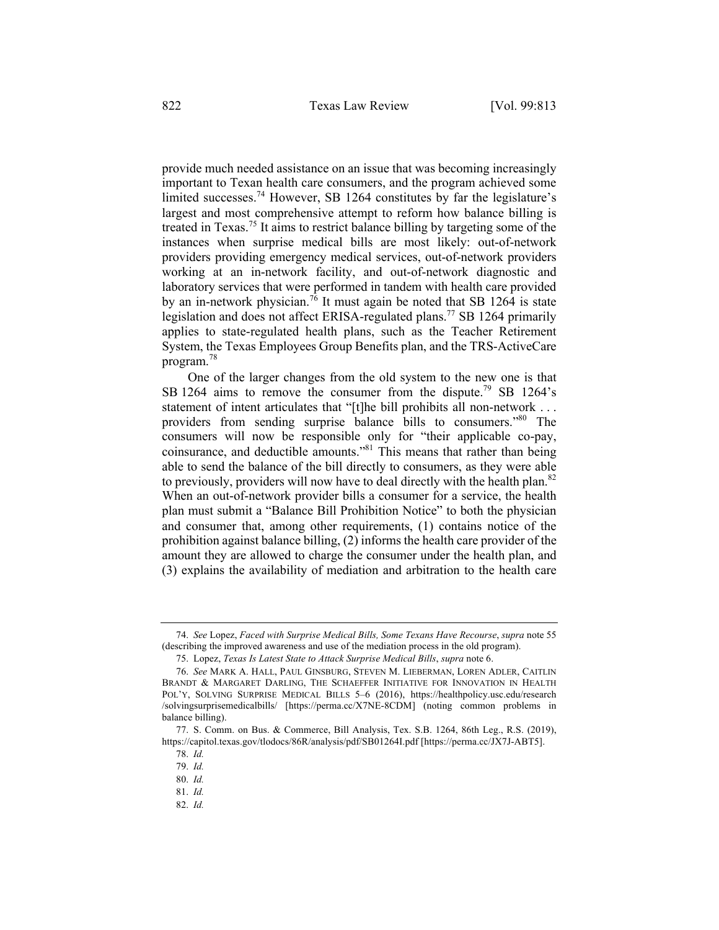provide much needed assistance on an issue that was becoming increasingly important to Texan health care consumers, and the program achieved some limited successes.<sup>74</sup> However, SB 1264 constitutes by far the legislature's largest and most comprehensive attempt to reform how balance billing is treated in Texas.<sup>75</sup> It aims to restrict balance billing by targeting some of the instances when surprise medical bills are most likely: out-of-network providers providing emergency medical services, out-of-network providers working at an in-network facility, and out-of-network diagnostic and laboratory services that were performed in tandem with health care provided by an in-network physician.<sup>76</sup> It must again be noted that SB 1264 is state legislation and does not affect ERISA-regulated plans.<sup>77</sup> SB 1264 primarily applies to state-regulated health plans, such as the Teacher Retirement System, the Texas Employees Group Benefits plan, and the TRS-ActiveCare program.<sup>78</sup>

One of the larger changes from the old system to the new one is that SB 1264 aims to remove the consumer from the dispute.<sup>79</sup> SB 1264's statement of intent articulates that "[t]he bill prohibits all non-network ... providers from sending surprise balance bills to consumers."80 The consumers will now be responsible only for "their applicable co-pay, coinsurance, and deductible amounts."81 This means that rather than being able to send the balance of the bill directly to consumers, as they were able to previously, providers will now have to deal directly with the health plan.<sup>82</sup> When an out-of-network provider bills a consumer for a service, the health plan must submit a "Balance Bill Prohibition Notice" to both the physician and consumer that, among other requirements, (1) contains notice of the prohibition against balance billing, (2) informs the health care provider of the amount they are allowed to charge the consumer under the health plan, and (3) explains the availability of mediation and arbitration to the health care

<sup>74.</sup> *See* Lopez, *Faced with Surprise Medical Bills, Some Texans Have Recourse*, *supra* note 55 (describing the improved awareness and use of the mediation process in the old program).

<sup>75.</sup> Lopez, *Texas Is Latest State to Attack Surprise Medical Bills*, *supra* note 6.

<sup>76.</sup> *See* MARK A. HALL, PAUL GINSBURG, STEVEN M. LIEBERMAN, LOREN ADLER, CAITLIN BRANDT & MARGARET DARLING, THE SCHAEFFER INITIATIVE FOR INNOVATION IN HEALTH POL'Y, SOLVING SURPRISE MEDICAL BILLS 5–6 (2016), https://healthpolicy.usc.edu/research /solvingsurprisemedicalbills/ [https://perma.cc/X7NE-8CDM] (noting common problems in balance billing).

<sup>77.</sup> S. Comm. on Bus. & Commerce, Bill Analysis, Tex. S.B. 1264, 86th Leg., R.S. (2019), https://capitol.texas.gov/tlodocs/86R/analysis/pdf/SB01264I.pdf [https://perma.cc/JX7J-ABT5].

<sup>78.</sup> *Id.*

<sup>79.</sup> *Id.*

<sup>80.</sup> *Id.*

<sup>81.</sup> *Id.*

<sup>82.</sup> *Id.*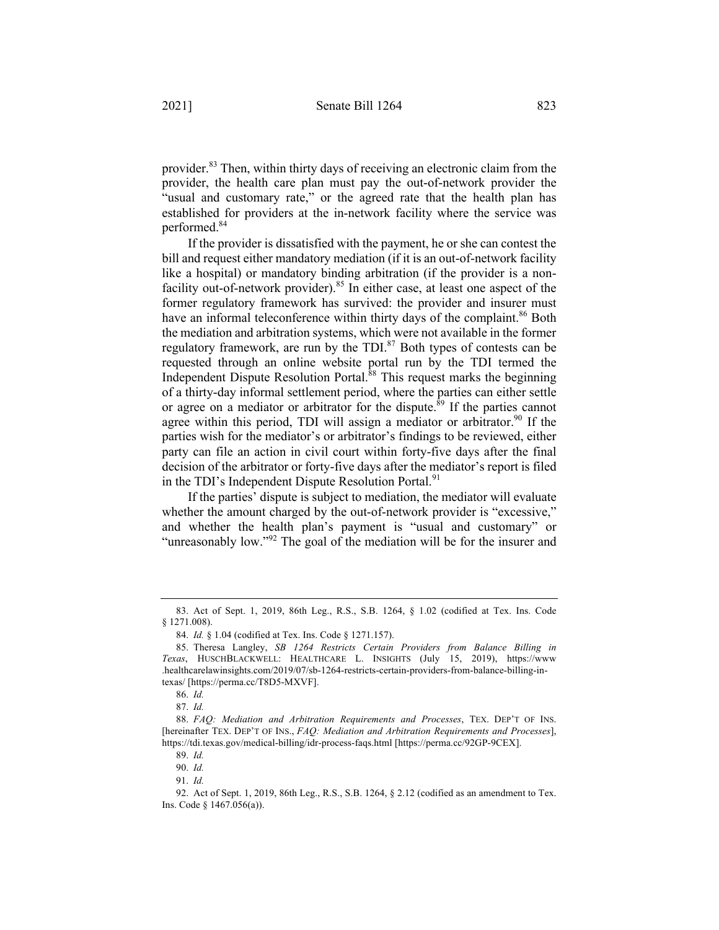provider.<sup>83</sup> Then, within thirty days of receiving an electronic claim from the provider, the health care plan must pay the out-of-network provider the "usual and customary rate," or the agreed rate that the health plan has established for providers at the in-network facility where the service was performed.84

If the provider is dissatisfied with the payment, he or she can contest the bill and request either mandatory mediation (if it is an out-of-network facility like a hospital) or mandatory binding arbitration (if the provider is a nonfacility out-of-network provider).<sup>85</sup> In either case, at least one aspect of the former regulatory framework has survived: the provider and insurer must have an informal teleconference within thirty days of the complaint.<sup>86</sup> Both the mediation and arbitration systems, which were not available in the former regulatory framework, are run by the TDI.<sup>87</sup> Both types of contests can be requested through an online website portal run by the TDI termed the Independent Dispute Resolution Portal. $88$  This request marks the beginning of a thirty-day informal settlement period, where the parties can either settle or agree on a mediator or arbitrator for the dispute.<sup>89</sup> If the parties cannot agree within this period. TDI will assign a mediator or arbitrator.<sup>90</sup> If the parties wish for the mediator's or arbitrator's findings to be reviewed, either party can file an action in civil court within forty-five days after the final decision of the arbitrator or forty-five days after the mediator's report is filed in the TDI's Independent Dispute Resolution Portal.<sup>91</sup>

If the parties' dispute is subject to mediation, the mediator will evaluate whether the amount charged by the out-of-network provider is "excessive," and whether the health plan's payment is "usual and customary" or "unreasonably low."<sup>92</sup> The goal of the mediation will be for the insurer and

<sup>83.</sup> Act of Sept. 1, 2019, 86th Leg., R.S., S.B. 1264, § 1.02 (codified at Tex. Ins. Code § 1271.008).

<sup>84.</sup> *Id.* § 1.04 (codified at Tex. Ins. Code § 1271.157).

<sup>85.</sup> Theresa Langley, *SB 1264 Restricts Certain Providers from Balance Billing in Texas*, HUSCHBLACKWELL: HEALTHCARE L. INSIGHTS (July 15, 2019), https://www .healthcarelawinsights.com/2019/07/sb-1264-restricts-certain-providers-from-balance-billing-intexas/ [https://perma.cc/T8D5-MXVF].

<sup>86.</sup> *Id.*

<sup>87.</sup> *Id.*

<sup>88.</sup> *FAQ: Mediation and Arbitration Requirements and Processes*, TEX. DEP'T OF INS. [hereinafter TEX. DEP'T OF INS., *FAQ: Mediation and Arbitration Requirements and Processes*], https://tdi.texas.gov/medical-billing/idr-process-faqs.html [https://perma.cc/92GP-9CEX].

<sup>89.</sup> *Id.*

<sup>90.</sup> *Id.*

<sup>91.</sup> *Id.*

<sup>92.</sup> Act of Sept. 1, 2019, 86th Leg., R.S., S.B. 1264, § 2.12 (codified as an amendment to Tex. Ins. Code § 1467.056(a)).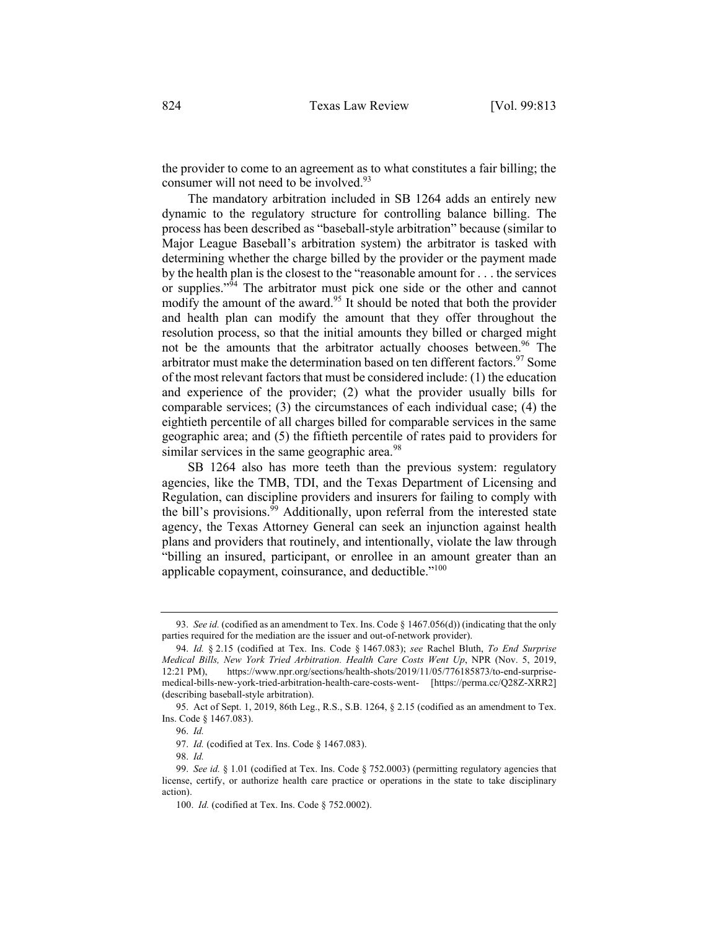the provider to come to an agreement as to what constitutes a fair billing; the consumer will not need to be involved.<sup>93</sup>

The mandatory arbitration included in SB 1264 adds an entirely new dynamic to the regulatory structure for controlling balance billing. The process has been described as "baseball-style arbitration" because (similar to Major League Baseball's arbitration system) the arbitrator is tasked with determining whether the charge billed by the provider or the payment made by the health plan is the closest to the "reasonable amount for . . . the services or supplies."<sup> $94$ </sup> The arbitrator must pick one side or the other and cannot modify the amount of the award.<sup>95</sup> It should be noted that both the provider and health plan can modify the amount that they offer throughout the resolution process, so that the initial amounts they billed or charged might not be the amounts that the arbitrator actually chooses between.<sup>96</sup> The arbitrator must make the determination based on ten different factors.<sup>97</sup> Some of the most relevant factors that must be considered include: (1) the education and experience of the provider; (2) what the provider usually bills for comparable services; (3) the circumstances of each individual case; (4) the eightieth percentile of all charges billed for comparable services in the same geographic area; and (5) the fiftieth percentile of rates paid to providers for similar services in the same geographic area.<sup>98</sup>

SB 1264 also has more teeth than the previous system: regulatory agencies, like the TMB, TDI, and the Texas Department of Licensing and Regulation, can discipline providers and insurers for failing to comply with the bill's provisions.<sup>99</sup> Additionally, upon referral from the interested state agency, the Texas Attorney General can seek an injunction against health plans and providers that routinely, and intentionally, violate the law through "billing an insured, participant, or enrollee in an amount greater than an applicable copayment, coinsurance, and deductible."<sup>100</sup>

<sup>93.</sup> *See id.* (codified as an amendment to Tex. Ins. Code § 1467.056(d)) (indicating that the only parties required for the mediation are the issuer and out-of-network provider).

<sup>94.</sup> *Id.* § 2.15 (codified at Tex. Ins. Code § 1467.083); *see* Rachel Bluth, *To End Surprise Medical Bills, New York Tried Arbitration. Health Care Costs Went Up*, NPR (Nov. 5, 2019, 12:21 PM), https://www.npr.org/sections/health-shots/2019/11/05/776185873/to-end-surprisemedical-bills-new-york-tried-arbitration-health-care-costs-went- [https://perma.cc/Q28Z-XRR2] (describing baseball-style arbitration).

<sup>95.</sup> Act of Sept. 1, 2019, 86th Leg., R.S., S.B. 1264, § 2.15 (codified as an amendment to Tex. Ins. Code § 1467.083).

<sup>96.</sup> *Id.*

<sup>97.</sup> *Id.* (codified at Tex. Ins. Code § 1467.083).

<sup>98.</sup> *Id.*

<sup>99.</sup> *See id.* § 1.01 (codified at Tex. Ins. Code § 752.0003) (permitting regulatory agencies that license, certify, or authorize health care practice or operations in the state to take disciplinary action).

<sup>100.</sup> *Id.* (codified at Tex. Ins. Code § 752.0002).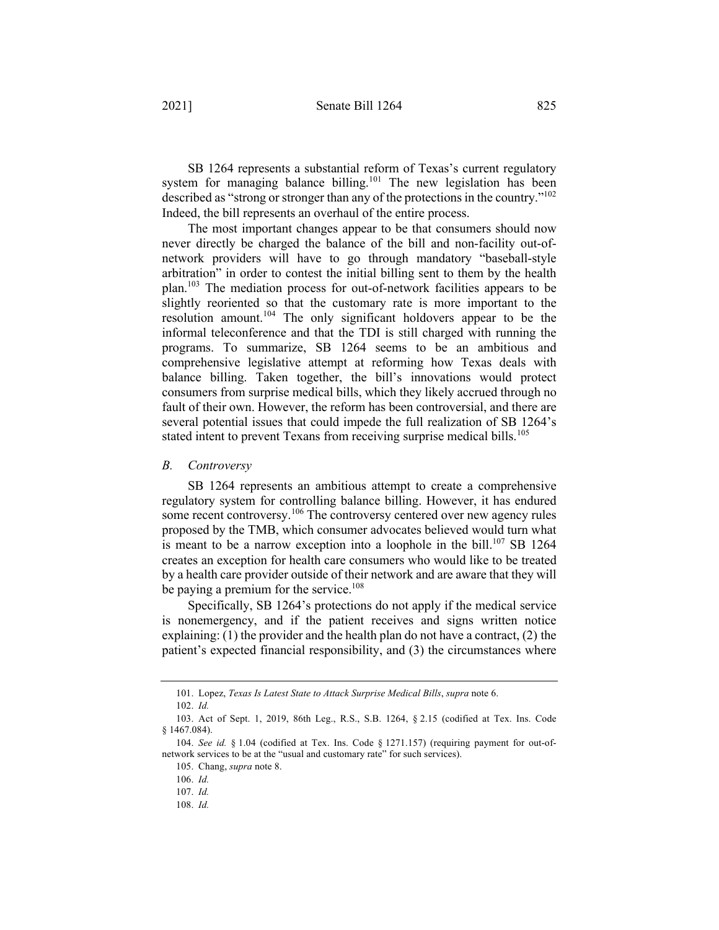SB 1264 represents a substantial reform of Texas's current regulatory system for managing balance billing.<sup>101</sup> The new legislation has been described as "strong or stronger than any of the protections in the country."102 Indeed, the bill represents an overhaul of the entire process.

The most important changes appear to be that consumers should now never directly be charged the balance of the bill and non-facility out-ofnetwork providers will have to go through mandatory "baseball-style arbitration" in order to contest the initial billing sent to them by the health plan.103 The mediation process for out-of-network facilities appears to be slightly reoriented so that the customary rate is more important to the resolution amount.<sup>104</sup> The only significant holdovers appear to be the informal teleconference and that the TDI is still charged with running the programs. To summarize, SB 1264 seems to be an ambitious and comprehensive legislative attempt at reforming how Texas deals with balance billing. Taken together, the bill's innovations would protect consumers from surprise medical bills, which they likely accrued through no fault of their own. However, the reform has been controversial, and there are several potential issues that could impede the full realization of SB 1264's stated intent to prevent Texans from receiving surprise medical bills.<sup>105</sup>

#### *B. Controversy*

SB 1264 represents an ambitious attempt to create a comprehensive regulatory system for controlling balance billing. However, it has endured some recent controversy.<sup>106</sup> The controversy centered over new agency rules proposed by the TMB, which consumer advocates believed would turn what is meant to be a narrow exception into a loophole in the bill.<sup>107</sup> SB 1264 creates an exception for health care consumers who would like to be treated by a health care provider outside of their network and are aware that they will be paying a premium for the service.<sup>108</sup>

Specifically, SB 1264's protections do not apply if the medical service is nonemergency, and if the patient receives and signs written notice explaining:  $(1)$  the provider and the health plan do not have a contract,  $(2)$  the patient's expected financial responsibility, and (3) the circumstances where

<sup>101.</sup> Lopez, *Texas Is Latest State to Attack Surprise Medical Bills*, *supra* note 6.

<sup>102.</sup> *Id.*

<sup>103.</sup> Act of Sept. 1, 2019, 86th Leg., R.S., S.B. 1264, § 2.15 (codified at Tex. Ins. Code § 1467.084).

<sup>104.</sup> *See id.* § 1.04 (codified at Tex. Ins. Code § 1271.157) (requiring payment for out-ofnetwork services to be at the "usual and customary rate" for such services).

<sup>105.</sup> Chang, *supra* note 8.

<sup>106.</sup> *Id.*

<sup>107.</sup> *Id.*

<sup>108.</sup> *Id.*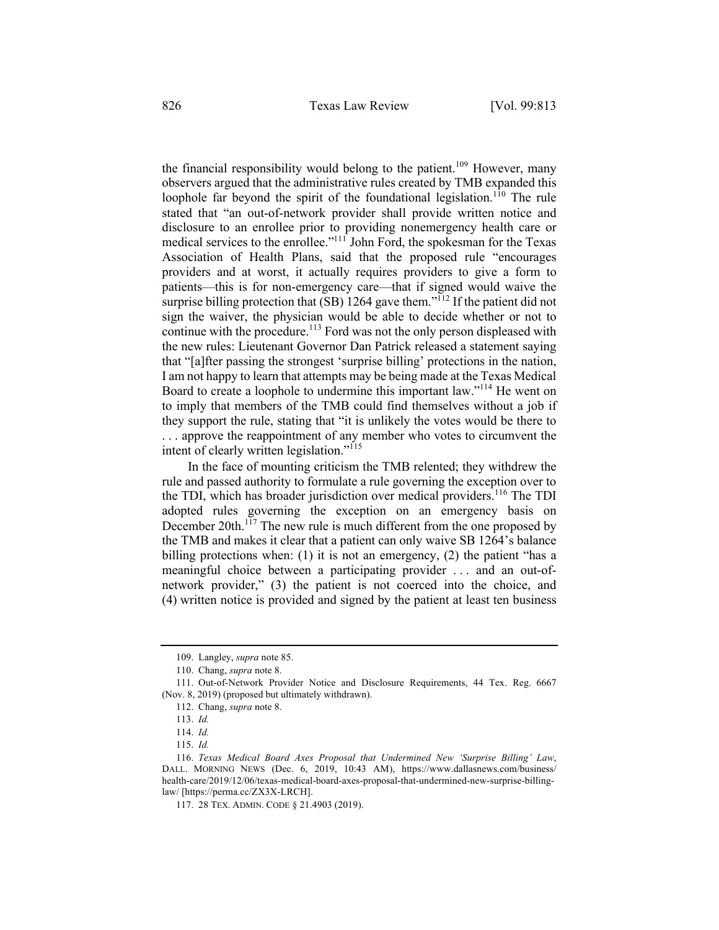the financial responsibility would belong to the patient.<sup>109</sup> However, many observers argued that the administrative rules created by TMB expanded this loophole far beyond the spirit of the foundational legislation.<sup>110</sup> The rule stated that "an out-of-network provider shall provide written notice and disclosure to an enrollee prior to providing nonemergency health care or medical services to the enrollee."<sup>111</sup> John Ford, the spokesman for the Texas Association of Health Plans, said that the proposed rule "encourages providers and at worst, it actually requires providers to give a form to patients—this is for non-emergency care—that if signed would waive the surprise billing protection that  $(SB)$  1264 gave them."<sup>112</sup> If the patient did not sign the waiver, the physician would be able to decide whether or not to continue with the procedure.<sup>113</sup> Ford was not the only person displeased with the new rules: Lieutenant Governor Dan Patrick released a statement saying that "[a]fter passing the strongest 'surprise billing' protections in the nation, I am not happy to learn that attempts may be being made at the Texas Medical Board to create a loophole to undermine this important law."114 He went on to imply that members of the TMB could find themselves without a job if they support the rule, stating that "it is unlikely the votes would be there to . . . approve the reappointment of any member who votes to circumvent the intent of clearly written legislation."<sup>115</sup>

In the face of mounting criticism the TMB relented; they withdrew the rule and passed authority to formulate a rule governing the exception over to the TDI, which has broader jurisdiction over medical providers.<sup>116</sup> The TDI adopted rules governing the exception on an emergency basis on December 20th.<sup>117</sup> The new rule is much different from the one proposed by the TMB and makes it clear that a patient can only waive SB 1264's balance billing protections when: (1) it is not an emergency, (2) the patient "has a meaningful choice between a participating provider . . . and an out-ofnetwork provider," (3) the patient is not coerced into the choice, and (4) written notice is provided and signed by the patient at least ten business

<sup>109.</sup> Langley, *supra* note 85.

<sup>110.</sup> Chang, *supra* note 8.

<sup>111.</sup> Out-of-Network Provider Notice and Disclosure Requirements, 44 Tex. Reg. 6667 (Nov. 8, 2019) (proposed but ultimately withdrawn).

<sup>112.</sup> Chang, *supra* note 8.

<sup>113.</sup> *Id.*

<sup>114.</sup> *Id.*

<sup>115.</sup> *Id.*

<sup>116.</sup> *Texas Medical Board Axes Proposal that Undermined New 'Surprise Billing' Law*, DALL. MORNING NEWS (Dec. 6, 2019, 10:43 AM), https://www.dallasnews.com/business/ health-care/2019/12/06/texas-medical-board-axes-proposal-that-undermined-new-surprise-billinglaw/ [https://perma.cc/ZX3X-LRCH].

<sup>117.</sup> 28 TEX. ADMIN. CODE § 21.4903 (2019).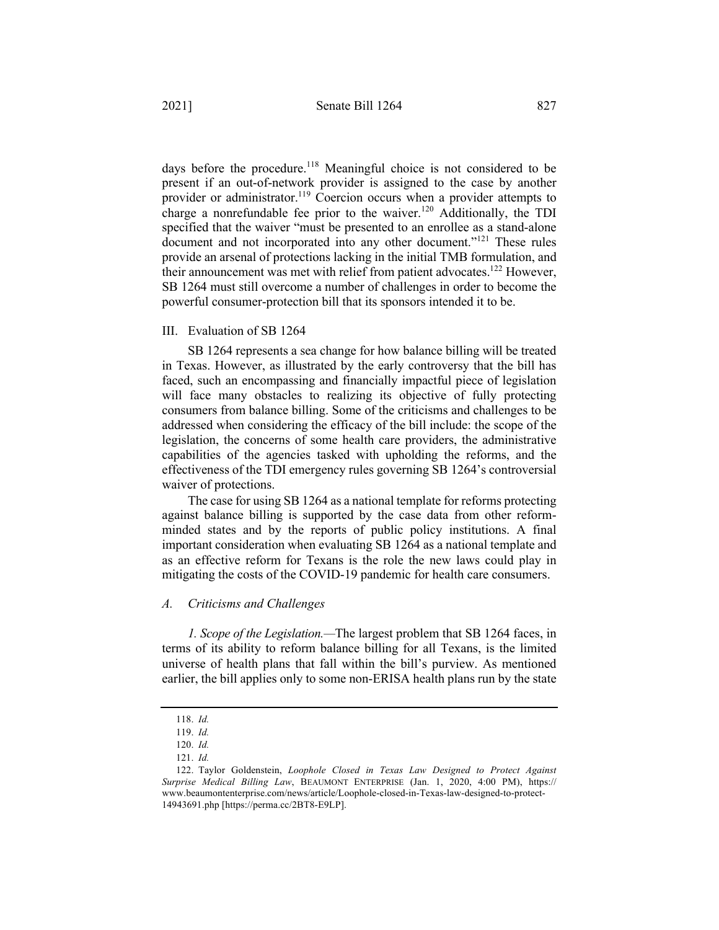days before the procedure.<sup>118</sup> Meaningful choice is not considered to be present if an out-of-network provider is assigned to the case by another provider or administrator.<sup>119</sup> Coercion occurs when a provider attempts to charge a nonrefundable fee prior to the waiver.<sup>120</sup> Additionally, the TDI specified that the waiver "must be presented to an enrollee as a stand-alone document and not incorporated into any other document."<sup>121</sup> These rules provide an arsenal of protections lacking in the initial TMB formulation, and their announcement was met with relief from patient advocates.<sup>122</sup> However, SB 1264 must still overcome a number of challenges in order to become the

powerful consumer-protection bill that its sponsors intended it to be.

#### III. Evaluation of SB 1264

SB 1264 represents a sea change for how balance billing will be treated in Texas. However, as illustrated by the early controversy that the bill has faced, such an encompassing and financially impactful piece of legislation will face many obstacles to realizing its objective of fully protecting consumers from balance billing. Some of the criticisms and challenges to be addressed when considering the efficacy of the bill include: the scope of the legislation, the concerns of some health care providers, the administrative capabilities of the agencies tasked with upholding the reforms, and the effectiveness of the TDI emergency rules governing SB 1264's controversial waiver of protections.

The case for using SB 1264 as a national template for reforms protecting against balance billing is supported by the case data from other reformminded states and by the reports of public policy institutions. A final important consideration when evaluating SB 1264 as a national template and as an effective reform for Texans is the role the new laws could play in mitigating the costs of the COVID-19 pandemic for health care consumers.

#### *A. Criticisms and Challenges*

*1. Scope of the Legislation.—*The largest problem that SB 1264 faces, in terms of its ability to reform balance billing for all Texans, is the limited universe of health plans that fall within the bill's purview. As mentioned earlier, the bill applies only to some non-ERISA health plans run by the state

<sup>118.</sup> *Id.*

<sup>119.</sup> *Id.*

<sup>120.</sup> *Id.*

<sup>121.</sup> *Id.*

<sup>122.</sup> Taylor Goldenstein, *Loophole Closed in Texas Law Designed to Protect Against Surprise Medical Billing Law*, BEAUMONT ENTERPRISE (Jan. 1, 2020, 4:00 PM), https:// www.beaumontenterprise.com/news/article/Loophole-closed-in-Texas-law-designed-to-protect-14943691.php [https://perma.cc/2BT8-E9LP].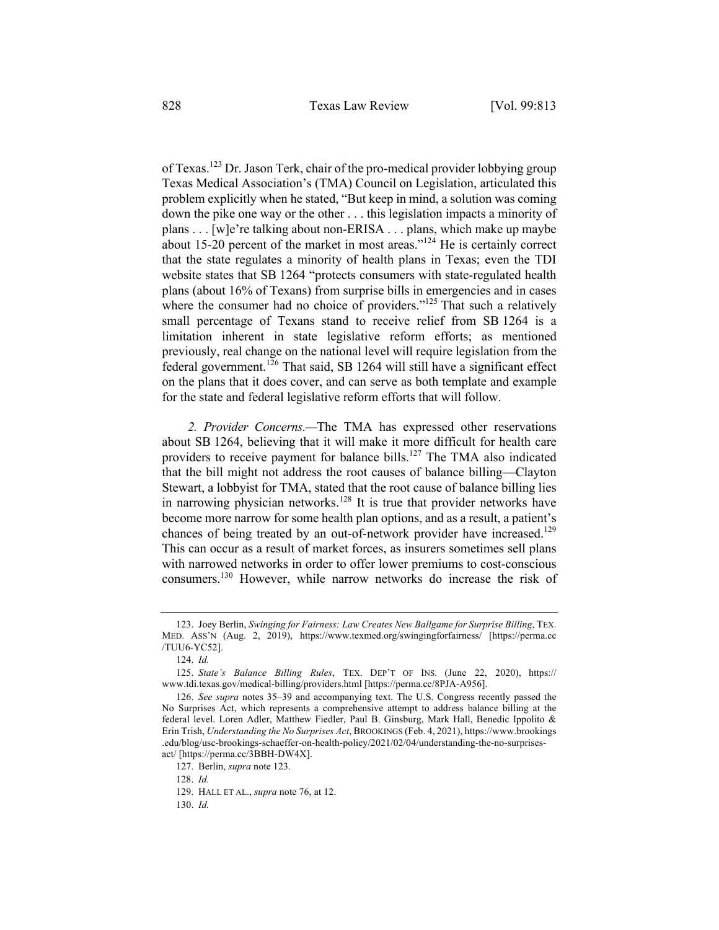of Texas.<sup>123</sup> Dr. Jason Terk, chair of the pro-medical provider lobbying group Texas Medical Association's (TMA) Council on Legislation, articulated this problem explicitly when he stated, "But keep in mind, a solution was coming down the pike one way or the other . . . this legislation impacts a minority of plans . . . [w]e're talking about non-ERISA . . . plans, which make up maybe about 15-20 percent of the market in most areas."<sup>124</sup> He is certainly correct that the state regulates a minority of health plans in Texas; even the TDI website states that SB 1264 "protects consumers with state-regulated health plans (about 16% of Texans) from surprise bills in emergencies and in cases where the consumer had no choice of providers."<sup>125</sup> That such a relatively small percentage of Texans stand to receive relief from SB 1264 is a limitation inherent in state legislative reform efforts; as mentioned previously, real change on the national level will require legislation from the federal government.<sup>126</sup> That said, SB 1264 will still have a significant effect on the plans that it does cover, and can serve as both template and example for the state and federal legislative reform efforts that will follow.

*2. Provider Concerns.—*The TMA has expressed other reservations about SB 1264, believing that it will make it more difficult for health care providers to receive payment for balance bills.<sup>127</sup> The TMA also indicated that the bill might not address the root causes of balance billing—Clayton Stewart, a lobbyist for TMA, stated that the root cause of balance billing lies in narrowing physician networks.<sup>128</sup> It is true that provider networks have become more narrow for some health plan options, and as a result, a patient's chances of being treated by an out-of-network provider have increased.<sup>129</sup> This can occur as a result of market forces, as insurers sometimes sell plans with narrowed networks in order to offer lower premiums to cost-conscious consumers.130 However, while narrow networks do increase the risk of

<sup>123.</sup> Joey Berlin, *Swinging for Fairness: Law Creates New Ballgame for Surprise Billing*, TEX. MED. ASS'N (Aug. 2, 2019), https://www.texmed.org/swingingforfairness/ [https://perma.cc /TUU6-YC52].

<sup>124.</sup> *Id.*

<sup>125.</sup> *State's Balance Billing Rules*, TEX. DEP'T OF INS. (June 22, 2020), https:// www.tdi.texas.gov/medical-billing/providers.html [https://perma.cc/8PJA-A956].

<sup>126.</sup> *See supra* notes 35–39 and accompanying text. The U.S. Congress recently passed the No Surprises Act, which represents a comprehensive attempt to address balance billing at the federal level. Loren Adler, Matthew Fiedler, Paul B. Ginsburg, Mark Hall, Benedic Ippolito & Erin Trish, *Understanding the No Surprises Act*, BROOKINGS (Feb. 4, 2021), https://www.brookings .edu/blog/usc-brookings-schaeffer-on-health-policy/2021/02/04/understanding-the-no-surprisesact/ [https://perma.cc/3BBH-DW4X].

<sup>127.</sup> Berlin, *supra* note 123.

<sup>128.</sup> *Id.*

<sup>129.</sup> HALL ET AL., *supra* note 76, at 12.

<sup>130.</sup> *Id.*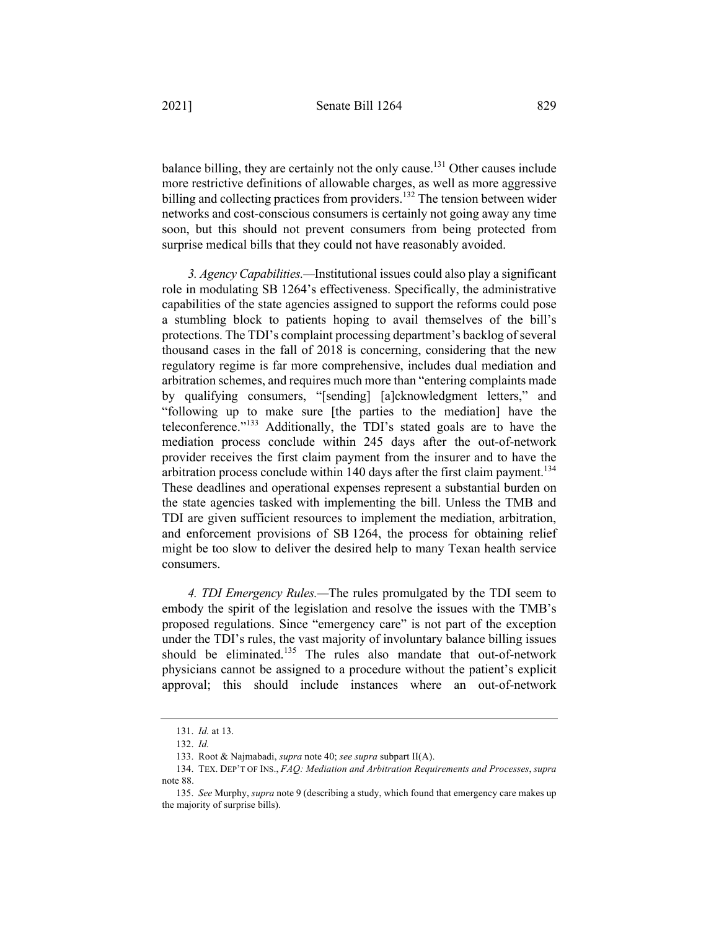balance billing, they are certainly not the only cause.<sup>131</sup> Other causes include more restrictive definitions of allowable charges, as well as more aggressive billing and collecting practices from providers.<sup>132</sup> The tension between wider networks and cost-conscious consumers is certainly not going away any time soon, but this should not prevent consumers from being protected from surprise medical bills that they could not have reasonably avoided.

*3. Agency Capabilities.—*Institutional issues could also play a significant role in modulating SB 1264's effectiveness. Specifically, the administrative capabilities of the state agencies assigned to support the reforms could pose a stumbling block to patients hoping to avail themselves of the bill's protections. The TDI's complaint processing department's backlog of several thousand cases in the fall of 2018 is concerning, considering that the new regulatory regime is far more comprehensive, includes dual mediation and arbitration schemes, and requires much more than "entering complaints made by qualifying consumers, "[sending] [a]cknowledgment letters," and "following up to make sure [the parties to the mediation] have the teleconference."133 Additionally, the TDI's stated goals are to have the mediation process conclude within 245 days after the out-of-network provider receives the first claim payment from the insurer and to have the arbitration process conclude within 140 days after the first claim payment.<sup>134</sup> These deadlines and operational expenses represent a substantial burden on the state agencies tasked with implementing the bill. Unless the TMB and TDI are given sufficient resources to implement the mediation, arbitration, and enforcement provisions of SB 1264, the process for obtaining relief might be too slow to deliver the desired help to many Texan health service consumers.

*4. TDI Emergency Rules.—*The rules promulgated by the TDI seem to embody the spirit of the legislation and resolve the issues with the TMB's proposed regulations. Since "emergency care" is not part of the exception under the TDI's rules, the vast majority of involuntary balance billing issues should be eliminated.<sup>135</sup> The rules also mandate that out-of-network physicians cannot be assigned to a procedure without the patient's explicit approval; this should include instances where an out-of-network

<sup>131.</sup> *Id.* at 13.

<sup>132.</sup> *Id.*

<sup>133.</sup> Root & Najmabadi, *supra* note 40; *see supra* subpart II(A).

<sup>134.</sup> TEX. DEP'T OF INS., *FAQ: Mediation and Arbitration Requirements and Processes*, *supra*  note 88.

<sup>135.</sup> *See* Murphy, *supra* note 9 (describing a study, which found that emergency care makes up the majority of surprise bills).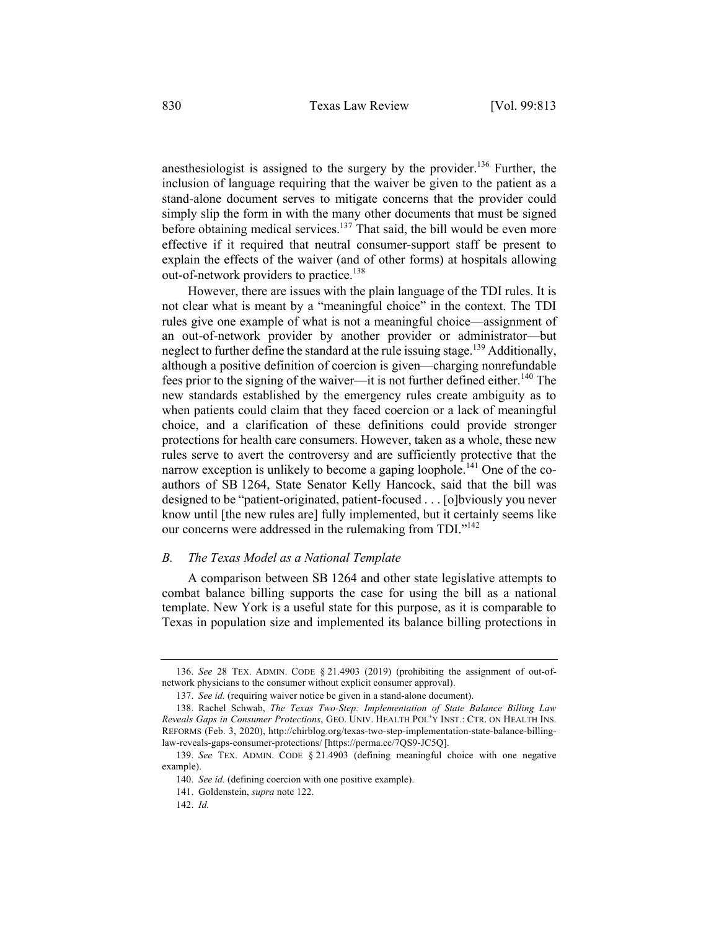anesthesiologist is assigned to the surgery by the provider.<sup>136</sup> Further, the inclusion of language requiring that the waiver be given to the patient as a stand-alone document serves to mitigate concerns that the provider could simply slip the form in with the many other documents that must be signed before obtaining medical services.<sup>137</sup> That said, the bill would be even more effective if it required that neutral consumer-support staff be present to explain the effects of the waiver (and of other forms) at hospitals allowing out-of-network providers to practice.<sup>138</sup>

However, there are issues with the plain language of the TDI rules. It is not clear what is meant by a "meaningful choice" in the context. The TDI rules give one example of what is not a meaningful choice—assignment of an out-of-network provider by another provider or administrator—but neglect to further define the standard at the rule issuing stage.<sup>139</sup> Additionally, although a positive definition of coercion is given—charging nonrefundable fees prior to the signing of the waiver—it is not further defined either.<sup>140</sup> The new standards established by the emergency rules create ambiguity as to when patients could claim that they faced coercion or a lack of meaningful choice, and a clarification of these definitions could provide stronger protections for health care consumers. However, taken as a whole, these new rules serve to avert the controversy and are sufficiently protective that the narrow exception is unlikely to become a gaping loophole.<sup>141</sup> One of the coauthors of SB 1264, State Senator Kelly Hancock, said that the bill was designed to be "patient-originated, patient-focused . . . [o]bviously you never know until [the new rules are] fully implemented, but it certainly seems like our concerns were addressed in the rulemaking from TDI."<sup>142</sup>

# *B. The Texas Model as a National Template*

A comparison between SB 1264 and other state legislative attempts to combat balance billing supports the case for using the bill as a national template. New York is a useful state for this purpose, as it is comparable to Texas in population size and implemented its balance billing protections in

<sup>136.</sup> *See* 28 TEX. ADMIN. CODE § 21.4903 (2019) (prohibiting the assignment of out-ofnetwork physicians to the consumer without explicit consumer approval).

<sup>137.</sup> *See id.* (requiring waiver notice be given in a stand-alone document).

<sup>138.</sup> Rachel Schwab, *The Texas Two-Step: Implementation of State Balance Billing Law Reveals Gaps in Consumer Protections*, GEO. UNIV. HEALTH POL'Y INST.: CTR. ON HEALTH INS. REFORMS (Feb. 3, 2020), http://chirblog.org/texas-two-step-implementation-state-balance-billinglaw-reveals-gaps-consumer-protections/ [https://perma.cc/7QS9-JC5Q].

<sup>139.</sup> *See* TEX. ADMIN. CODE § 21.4903 (defining meaningful choice with one negative example).

<sup>140.</sup> *See id.* (defining coercion with one positive example).

<sup>141.</sup> Goldenstein, *supra* note 122.

<sup>142.</sup> *Id.*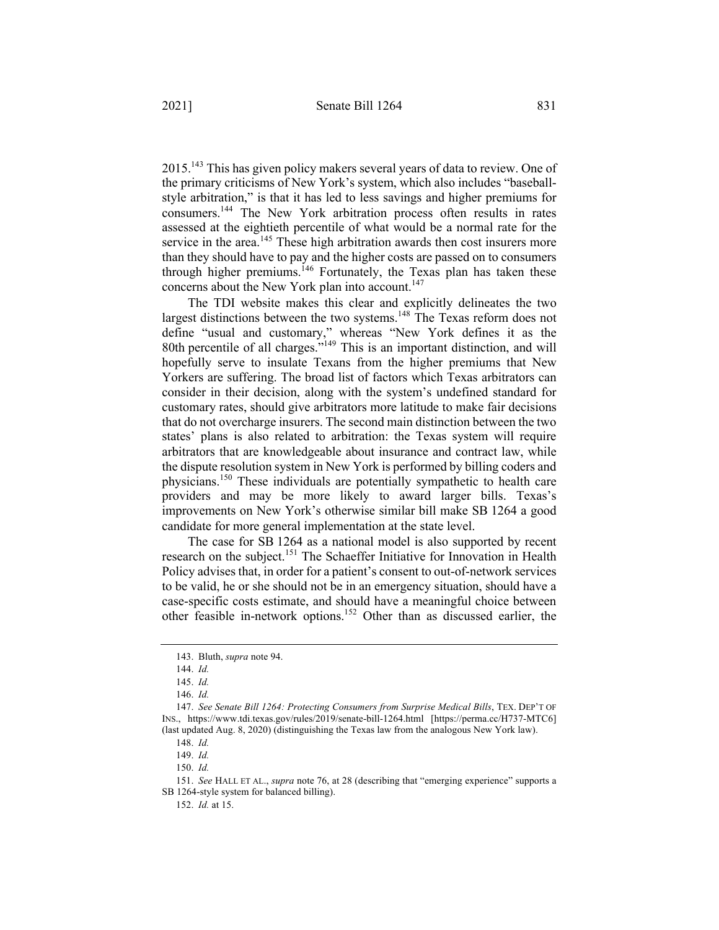2015.143 This has given policy makers several years of data to review. One of the primary criticisms of New York's system, which also includes "baseballstyle arbitration," is that it has led to less savings and higher premiums for consumers.144 The New York arbitration process often results in rates assessed at the eightieth percentile of what would be a normal rate for the service in the area.<sup>145</sup> These high arbitration awards then cost insurers more than they should have to pay and the higher costs are passed on to consumers through higher premiums.<sup>146</sup> Fortunately, the Texas plan has taken these concerns about the New York plan into account.<sup>147</sup>

The TDI website makes this clear and explicitly delineates the two largest distinctions between the two systems.<sup>148</sup> The Texas reform does not define "usual and customary," whereas "New York defines it as the 80th percentile of all charges."<sup>149</sup> This is an important distinction, and will hopefully serve to insulate Texans from the higher premiums that New Yorkers are suffering. The broad list of factors which Texas arbitrators can consider in their decision, along with the system's undefined standard for customary rates, should give arbitrators more latitude to make fair decisions that do not overcharge insurers. The second main distinction between the two states' plans is also related to arbitration: the Texas system will require arbitrators that are knowledgeable about insurance and contract law, while the dispute resolution system in New York is performed by billing coders and physicians.150 These individuals are potentially sympathetic to health care providers and may be more likely to award larger bills. Texas's improvements on New York's otherwise similar bill make SB 1264 a good candidate for more general implementation at the state level.

The case for SB 1264 as a national model is also supported by recent research on the subject.<sup>151</sup> The Schaeffer Initiative for Innovation in Health Policy advises that, in order for a patient's consent to out-of-network services to be valid, he or she should not be in an emergency situation, should have a case-specific costs estimate, and should have a meaningful choice between other feasible in-network options.152 Other than as discussed earlier, the

<sup>143.</sup> Bluth, *supra* note 94.

<sup>144.</sup> *Id.*

<sup>145.</sup> *Id.*

<sup>146.</sup> *Id.*

<sup>147.</sup> *See Senate Bill 1264: Protecting Consumers from Surprise Medical Bills*, TEX. DEP'T OF INS., https://www.tdi.texas.gov/rules/2019/senate-bill-1264.html [https://perma.cc/H737-MTC6] (last updated Aug. 8, 2020) (distinguishing the Texas law from the analogous New York law).

<sup>148.</sup> *Id.*

<sup>149.</sup> *Id.*

<sup>150.</sup> *Id.*

<sup>151.</sup> *See* HALL ET AL., *supra* note 76, at 28 (describing that "emerging experience" supports a SB 1264-style system for balanced billing).

<sup>152.</sup> *Id.* at 15.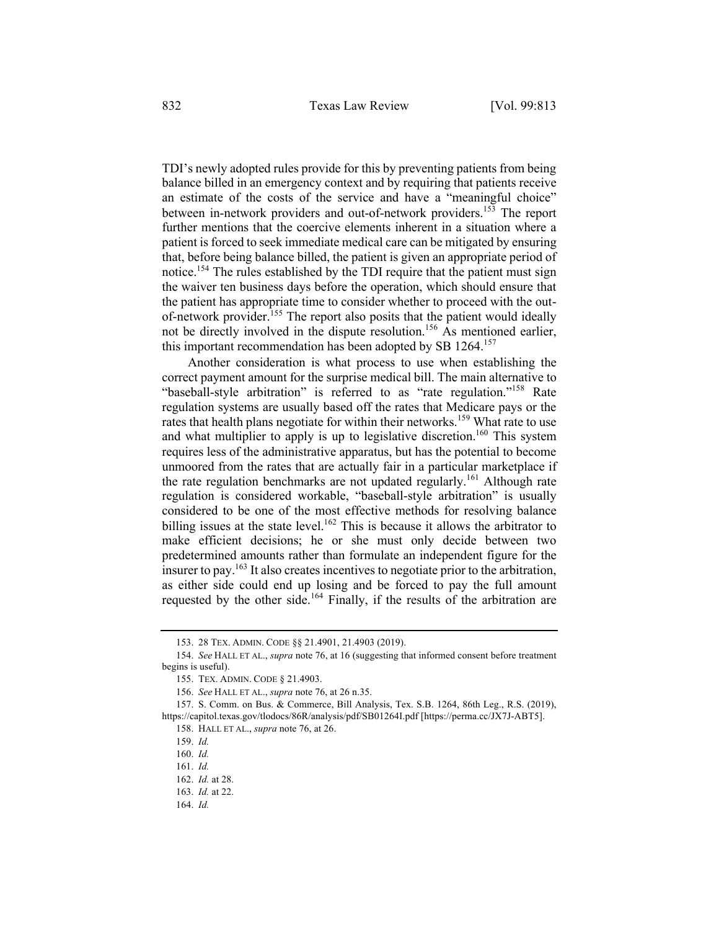TDI's newly adopted rules provide for this by preventing patients from being balance billed in an emergency context and by requiring that patients receive an estimate of the costs of the service and have a "meaningful choice" between in-network providers and out-of-network providers.<sup>153</sup> The report further mentions that the coercive elements inherent in a situation where a patient is forced to seek immediate medical care can be mitigated by ensuring that, before being balance billed, the patient is given an appropriate period of notice.<sup>154</sup> The rules established by the TDI require that the patient must sign the waiver ten business days before the operation, which should ensure that the patient has appropriate time to consider whether to proceed with the outof-network provider.<sup>155</sup> The report also posits that the patient would ideally not be directly involved in the dispute resolution.<sup>156</sup> As mentioned earlier, this important recommendation has been adopted by SB  $1264$ <sup>157</sup>

Another consideration is what process to use when establishing the correct payment amount for the surprise medical bill. The main alternative to "baseball-style arbitration" is referred to as "rate regulation."<sup>158</sup> Rate regulation systems are usually based off the rates that Medicare pays or the rates that health plans negotiate for within their networks.<sup>159</sup> What rate to use and what multiplier to apply is up to legislative discretion.<sup>160</sup> This system requires less of the administrative apparatus, but has the potential to become unmoored from the rates that are actually fair in a particular marketplace if the rate regulation benchmarks are not updated regularly.<sup>161</sup> Although rate regulation is considered workable, "baseball-style arbitration" is usually considered to be one of the most effective methods for resolving balance billing issues at the state level.<sup>162</sup> This is because it allows the arbitrator to make efficient decisions; he or she must only decide between two predetermined amounts rather than formulate an independent figure for the insurer to pay.<sup>163</sup> It also creates incentives to negotiate prior to the arbitration, as either side could end up losing and be forced to pay the full amount requested by the other side.<sup>164</sup> Finally, if the results of the arbitration are

<sup>153.</sup> 28 TEX. ADMIN. CODE §§ 21.4901, 21.4903 (2019).

<sup>154.</sup> *See* HALL ET AL., *supra* note 76, at 16 (suggesting that informed consent before treatment begins is useful).

<sup>155.</sup> TEX. ADMIN. CODE § 21.4903.

<sup>156.</sup> *See* HALL ET AL., *supra* note 76, at 26 n.35.

<sup>157.</sup> S. Comm. on Bus. & Commerce, Bill Analysis, Tex. S.B. 1264, 86th Leg., R.S. (2019), https://capitol.texas.gov/tlodocs/86R/analysis/pdf/SB01264I.pdf [https://perma.cc/JX7J-ABT5].

<sup>158.</sup> HALL ET AL., *supra* note 76, at 26.

<sup>159.</sup> *Id.*

<sup>160.</sup> *Id.*

<sup>161.</sup> *Id.*

<sup>162.</sup> *Id.* at 28.

<sup>163.</sup> *Id.* at 22.

<sup>164.</sup> *Id.*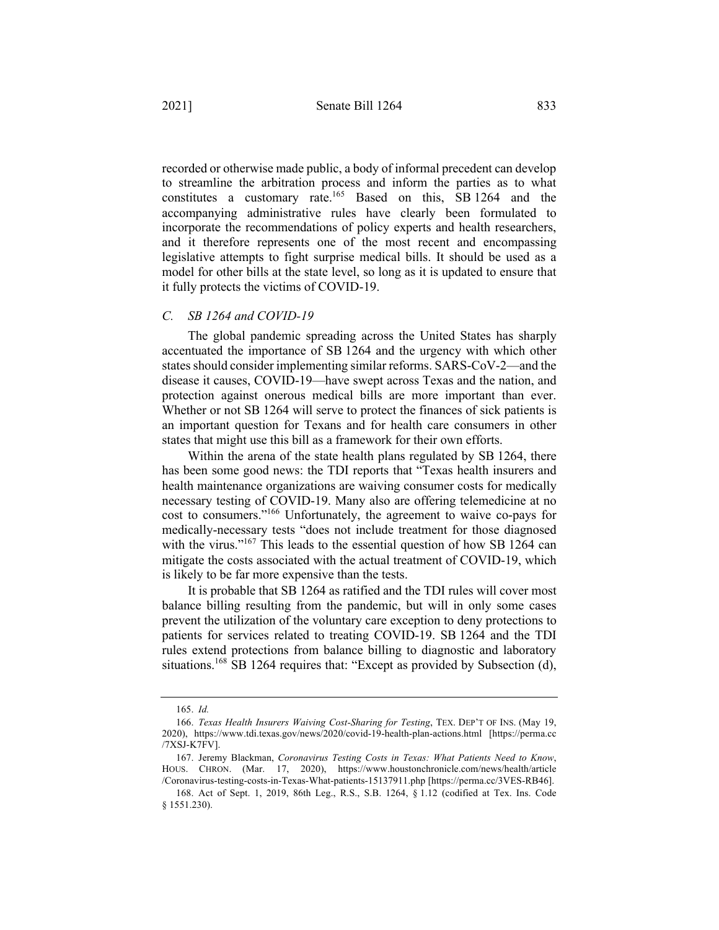recorded or otherwise made public, a body of informal precedent can develop to streamline the arbitration process and inform the parties as to what constitutes a customary rate.<sup>165</sup> Based on this, SB 1264 and the accompanying administrative rules have clearly been formulated to incorporate the recommendations of policy experts and health researchers, and it therefore represents one of the most recent and encompassing legislative attempts to fight surprise medical bills. It should be used as a model for other bills at the state level, so long as it is updated to ensure that

#### *C. SB 1264 and COVID-19*

it fully protects the victims of COVID-19.

The global pandemic spreading across the United States has sharply accentuated the importance of SB 1264 and the urgency with which other states should consider implementing similar reforms. SARS-CoV-2—and the disease it causes, COVID-19—have swept across Texas and the nation, and protection against onerous medical bills are more important than ever. Whether or not SB 1264 will serve to protect the finances of sick patients is an important question for Texans and for health care consumers in other states that might use this bill as a framework for their own efforts.

Within the arena of the state health plans regulated by SB 1264, there has been some good news: the TDI reports that "Texas health insurers and health maintenance organizations are waiving consumer costs for medically necessary testing of COVID-19. Many also are offering telemedicine at no cost to consumers."166 Unfortunately, the agreement to waive co-pays for medically-necessary tests "does not include treatment for those diagnosed with the virus."<sup>167</sup> This leads to the essential question of how SB 1264 can mitigate the costs associated with the actual treatment of COVID-19, which is likely to be far more expensive than the tests.

It is probable that SB 1264 as ratified and the TDI rules will cover most balance billing resulting from the pandemic, but will in only some cases prevent the utilization of the voluntary care exception to deny protections to patients for services related to treating COVID-19. SB 1264 and the TDI rules extend protections from balance billing to diagnostic and laboratory situations.<sup>168</sup> SB 1264 requires that: "Except as provided by Subsection (d),

<sup>165.</sup> *Id.*

<sup>166.</sup> *Texas Health Insurers Waiving Cost-Sharing for Testing*, TEX. DEP'T OF INS. (May 19, 2020), https://www.tdi.texas.gov/news/2020/covid-19-health-plan-actions.html [https://perma.cc /7XSJ-K7FV].

<sup>167.</sup> Jeremy Blackman, *Coronavirus Testing Costs in Texas: What Patients Need to Know*, HOUS. CHRON. (Mar. 17, 2020), https://www.houstonchronicle.com/news/health/article /Coronavirus-testing-costs-in-Texas-What-patients-15137911.php [https://perma.cc/3VES-RB46].

<sup>168.</sup> Act of Sept. 1, 2019, 86th Leg., R.S., S.B. 1264, § 1.12 (codified at Tex. Ins. Code § 1551.230).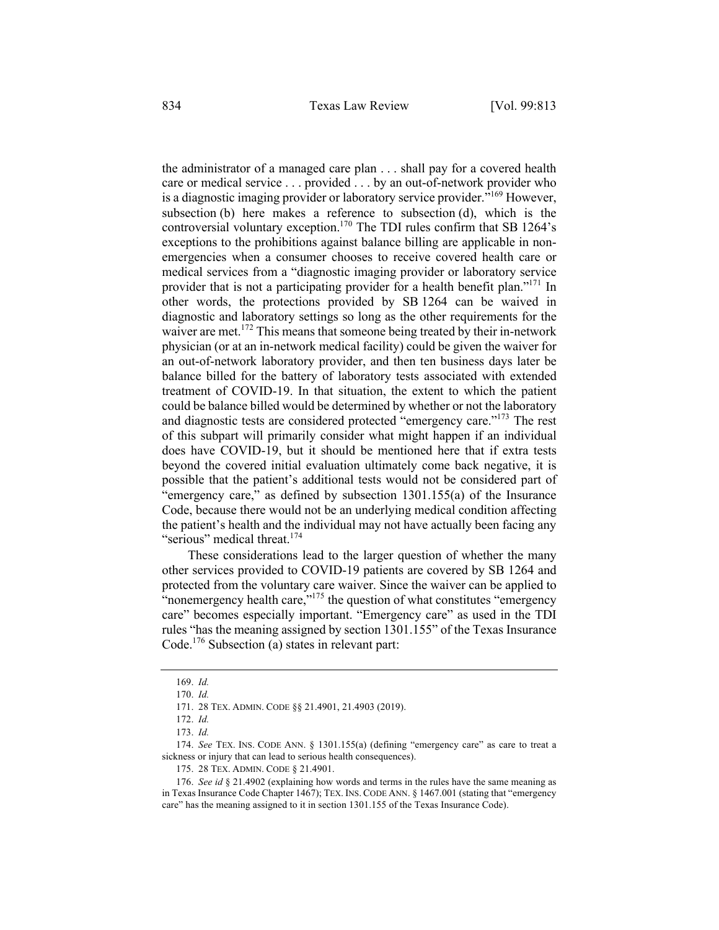the administrator of a managed care plan . . . shall pay for a covered health care or medical service . . . provided . . . by an out-of-network provider who is a diagnostic imaging provider or laboratory service provider.<sup>"169</sup> However, subsection (b) here makes a reference to subsection (d), which is the controversial voluntary exception.<sup>170</sup> The TDI rules confirm that SB 1264's exceptions to the prohibitions against balance billing are applicable in nonemergencies when a consumer chooses to receive covered health care or medical services from a "diagnostic imaging provider or laboratory service provider that is not a participating provider for a health benefit plan."<sup>171</sup> In other words, the protections provided by SB 1264 can be waived in diagnostic and laboratory settings so long as the other requirements for the waiver are met.<sup>172</sup> This means that someone being treated by their in-network physician (or at an in-network medical facility) could be given the waiver for an out-of-network laboratory provider, and then ten business days later be balance billed for the battery of laboratory tests associated with extended treatment of COVID-19. In that situation, the extent to which the patient could be balance billed would be determined by whether or not the laboratory and diagnostic tests are considered protected "emergency care."173 The rest of this subpart will primarily consider what might happen if an individual does have COVID-19, but it should be mentioned here that if extra tests beyond the covered initial evaluation ultimately come back negative, it is possible that the patient's additional tests would not be considered part of "emergency care," as defined by subsection 1301.155(a) of the Insurance Code, because there would not be an underlying medical condition affecting the patient's health and the individual may not have actually been facing any "serious" medical threat.<sup>174</sup>

These considerations lead to the larger question of whether the many other services provided to COVID-19 patients are covered by SB 1264 and protected from the voluntary care waiver. Since the waiver can be applied to "nonemergency health care, $v^{175}$  the question of what constitutes "emergency care" becomes especially important. "Emergency care" as used in the TDI rules "has the meaning assigned by section 1301.155" of the Texas Insurance Code. <sup>176</sup> Subsection (a) states in relevant part:

<sup>169.</sup> *Id.*

<sup>170.</sup> *Id.*

<sup>171.</sup> 28 TEX. ADMIN. CODE §§ 21.4901, 21.4903 (2019).

<sup>172.</sup> *Id.*

<sup>173.</sup> *Id.*

<sup>174.</sup> *See* TEX. INS. CODE ANN. § 1301.155(a) (defining "emergency care" as care to treat a sickness or injury that can lead to serious health consequences).

<sup>175.</sup> 28 TEX. ADMIN. CODE § 21.4901.

<sup>176.</sup> *See id* § 21.4902 (explaining how words and terms in the rules have the same meaning as in Texas Insurance Code Chapter 1467); TEX. INS. CODE ANN. § 1467.001 (stating that "emergency care" has the meaning assigned to it in section 1301.155 of the Texas Insurance Code).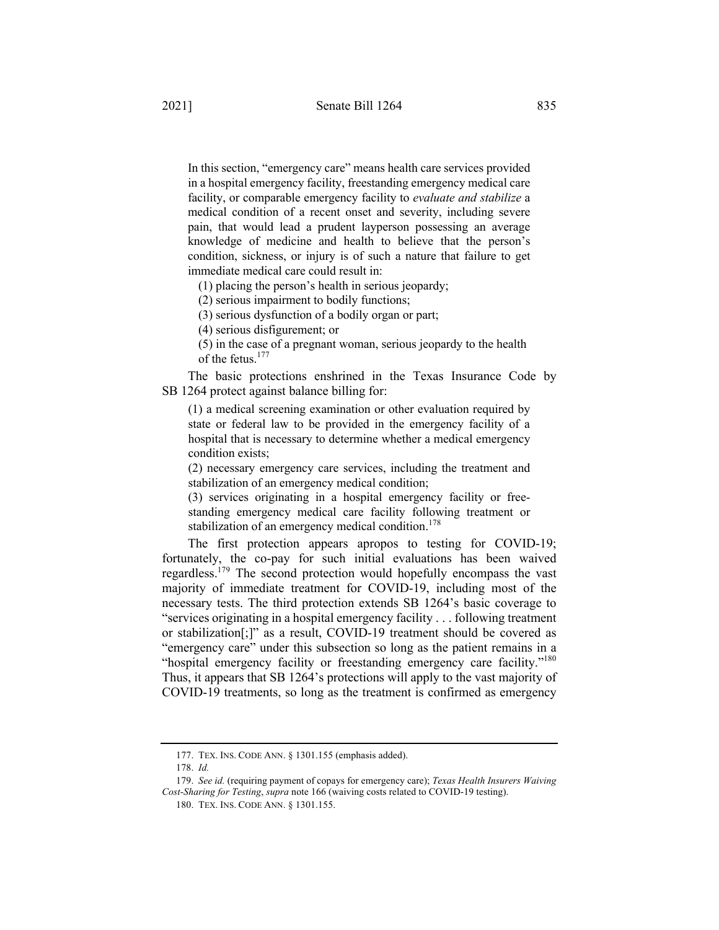In this section, "emergency care" means health care services provided in a hospital emergency facility, freestanding emergency medical care facility, or comparable emergency facility to *evaluate and stabilize* a medical condition of a recent onset and severity, including severe pain, that would lead a prudent layperson possessing an average knowledge of medicine and health to believe that the person's condition, sickness, or injury is of such a nature that failure to get immediate medical care could result in:

(1) placing the person's health in serious jeopardy;

(2) serious impairment to bodily functions;

(3) serious dysfunction of a bodily organ or part;

(4) serious disfigurement; or

(5) in the case of a pregnant woman, serious jeopardy to the health of the fetus.<sup>177</sup>

The basic protections enshrined in the Texas Insurance Code by SB 1264 protect against balance billing for:

(1) a medical screening examination or other evaluation required by state or federal law to be provided in the emergency facility of a hospital that is necessary to determine whether a medical emergency condition exists;

(2) necessary emergency care services, including the treatment and stabilization of an emergency medical condition;

(3) services originating in a hospital emergency facility or freestanding emergency medical care facility following treatment or stabilization of an emergency medical condition.<sup>178</sup>

The first protection appears apropos to testing for COVID-19; fortunately, the co-pay for such initial evaluations has been waived regardless.<sup>179</sup> The second protection would hopefully encompass the vast majority of immediate treatment for COVID-19, including most of the necessary tests. The third protection extends SB 1264's basic coverage to "services originating in a hospital emergency facility . . . following treatment or stabilization[;]" as a result, COVID-19 treatment should be covered as "emergency care" under this subsection so long as the patient remains in a "hospital emergency facility or freestanding emergency care facility."<sup>180</sup> Thus, it appears that SB 1264's protections will apply to the vast majority of COVID-19 treatments, so long as the treatment is confirmed as emergency

<sup>177.</sup> TEX. INS. CODE ANN. § 1301.155 (emphasis added).

<sup>178.</sup> *Id.*

<sup>179.</sup> *See id.* (requiring payment of copays for emergency care); *Texas Health Insurers Waiving Cost-Sharing for Testing*, *supra* note 166 (waiving costs related to COVID-19 testing).

<sup>180.</sup> TEX. INS. CODE ANN. § 1301.155.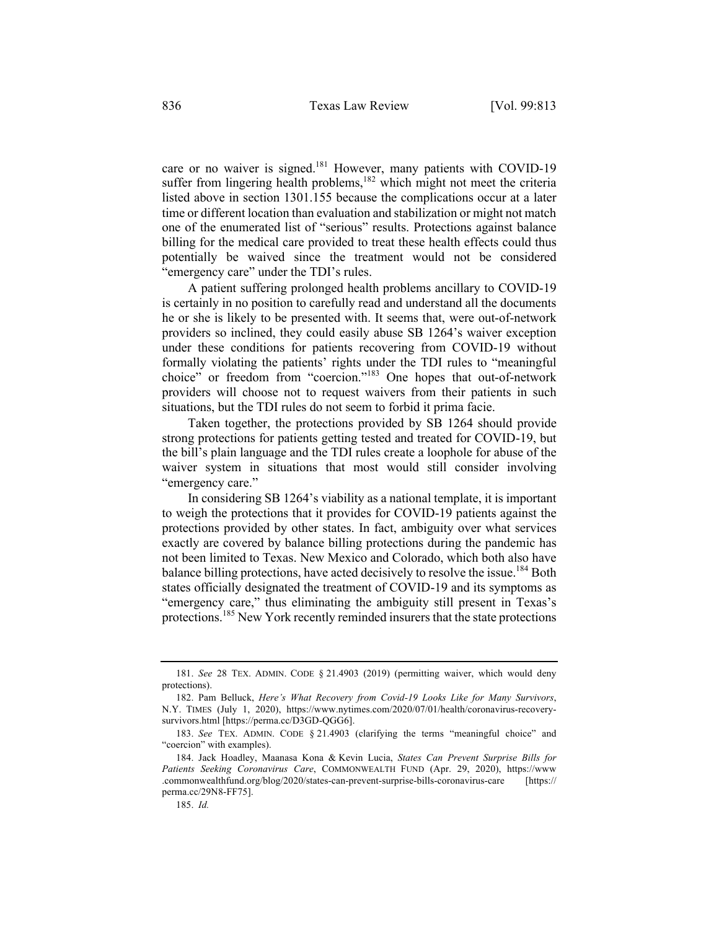care or no waiver is signed.<sup>181</sup> However, many patients with COVID-19 suffer from lingering health problems, $182$  which might not meet the criteria listed above in section 1301.155 because the complications occur at a later time or different location than evaluation and stabilization or might not match one of the enumerated list of "serious" results. Protections against balance billing for the medical care provided to treat these health effects could thus potentially be waived since the treatment would not be considered "emergency care" under the TDI's rules.

A patient suffering prolonged health problems ancillary to COVID-19 is certainly in no position to carefully read and understand all the documents he or she is likely to be presented with. It seems that, were out-of-network providers so inclined, they could easily abuse SB 1264's waiver exception under these conditions for patients recovering from COVID-19 without formally violating the patients' rights under the TDI rules to "meaningful choice" or freedom from "coercion."<sup>183</sup> One hopes that out-of-network providers will choose not to request waivers from their patients in such situations, but the TDI rules do not seem to forbid it prima facie.

Taken together, the protections provided by SB 1264 should provide strong protections for patients getting tested and treated for COVID-19, but the bill's plain language and the TDI rules create a loophole for abuse of the waiver system in situations that most would still consider involving "emergency care."

In considering SB 1264's viability as a national template, it is important to weigh the protections that it provides for COVID-19 patients against the protections provided by other states. In fact, ambiguity over what services exactly are covered by balance billing protections during the pandemic has not been limited to Texas. New Mexico and Colorado, which both also have balance billing protections, have acted decisively to resolve the issue.<sup>184</sup> Both states officially designated the treatment of COVID-19 and its symptoms as "emergency care," thus eliminating the ambiguity still present in Texas's protections.<sup>185</sup> New York recently reminded insurers that the state protections

<sup>181.</sup> *See* 28 TEX. ADMIN. CODE § 21.4903 (2019) (permitting waiver, which would deny protections).

<sup>182.</sup> Pam Belluck, *Here's What Recovery from Covid-19 Looks Like for Many Survivors*, N.Y. TIMES (July 1, 2020), https://www.nytimes.com/2020/07/01/health/coronavirus-recoverysurvivors.html [https://perma.cc/D3GD-QGG6].

<sup>183.</sup> *See* TEX. ADMIN. CODE § 21.4903 (clarifying the terms "meaningful choice" and "coercion" with examples).

<sup>184.</sup> Jack Hoadley, Maanasa Kona & Kevin Lucia, *States Can Prevent Surprise Bills for Patients Seeking Coronavirus Care*, COMMONWEALTH FUND (Apr. 29, 2020), https://www .commonwealthfund.org/blog/2020/states-can-prevent-surprise-bills-coronavirus-care [https:// perma.cc/29N8-FF75].

<sup>185.</sup> *Id.*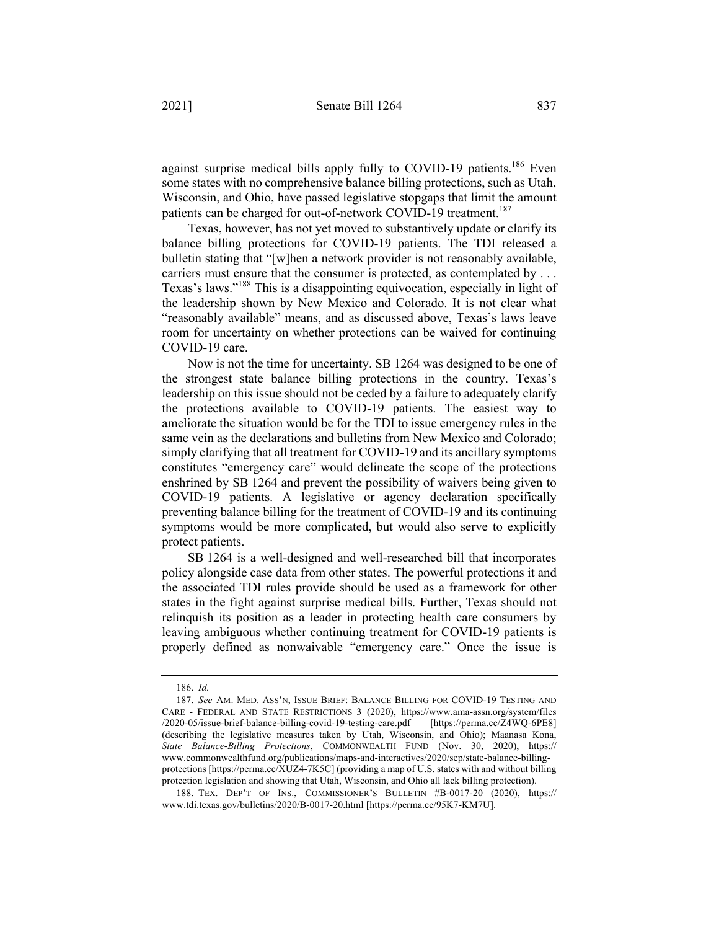against surprise medical bills apply fully to COVID-19 patients.<sup>186</sup> Even some states with no comprehensive balance billing protections, such as Utah, Wisconsin, and Ohio, have passed legislative stopgaps that limit the amount patients can be charged for out-of-network COVID-19 treatment.<sup>187</sup>

Texas, however, has not yet moved to substantively update or clarify its balance billing protections for COVID-19 patients. The TDI released a bulletin stating that "[w]hen a network provider is not reasonably available, carriers must ensure that the consumer is protected, as contemplated by . . . Texas's laws."<sup>188</sup> This is a disappointing equivocation, especially in light of the leadership shown by New Mexico and Colorado. It is not clear what "reasonably available" means, and as discussed above, Texas's laws leave room for uncertainty on whether protections can be waived for continuing COVID-19 care.

Now is not the time for uncertainty. SB 1264 was designed to be one of the strongest state balance billing protections in the country. Texas's leadership on this issue should not be ceded by a failure to adequately clarify the protections available to COVID-19 patients. The easiest way to ameliorate the situation would be for the TDI to issue emergency rules in the same vein as the declarations and bulletins from New Mexico and Colorado; simply clarifying that all treatment for COVID-19 and its ancillary symptoms constitutes "emergency care" would delineate the scope of the protections enshrined by SB 1264 and prevent the possibility of waivers being given to COVID-19 patients. A legislative or agency declaration specifically preventing balance billing for the treatment of COVID-19 and its continuing symptoms would be more complicated, but would also serve to explicitly protect patients.

SB 1264 is a well-designed and well-researched bill that incorporates policy alongside case data from other states. The powerful protections it and the associated TDI rules provide should be used as a framework for other states in the fight against surprise medical bills. Further, Texas should not relinquish its position as a leader in protecting health care consumers by leaving ambiguous whether continuing treatment for COVID-19 patients is properly defined as nonwaivable "emergency care." Once the issue is

<sup>186.</sup> *Id.*

<sup>187.</sup> *See* AM. MED. ASS'N, ISSUE BRIEF: BALANCE BILLING FOR COVID-19 TESTING AND CARE - FEDERAL AND STATE RESTRICTIONS 3 (2020), https://www.ama-assn.org/system/files /2020-05/issue-brief-balance-billing-covid-19-testing-care.pdf [https://perma.cc/Z4WQ-6PE8] (describing the legislative measures taken by Utah, Wisconsin, and Ohio); Maanasa Kona, *State Balance-Billing Protections*, COMMONWEALTH FUND (Nov. 30, 2020), https:// www.commonwealthfund.org/publications/maps-and-interactives/2020/sep/state-balance-billingprotections [https://perma.cc/XUZ4-7K5C] (providing a map of U.S. states with and without billing protection legislation and showing that Utah, Wisconsin, and Ohio all lack billing protection).

<sup>188.</sup> TEX. DEP'T OF INS., COMMISSIONER'S BULLETIN #B-0017-20 (2020), https:// www.tdi.texas.gov/bulletins/2020/B-0017-20.html [https://perma.cc/95K7-KM7U].